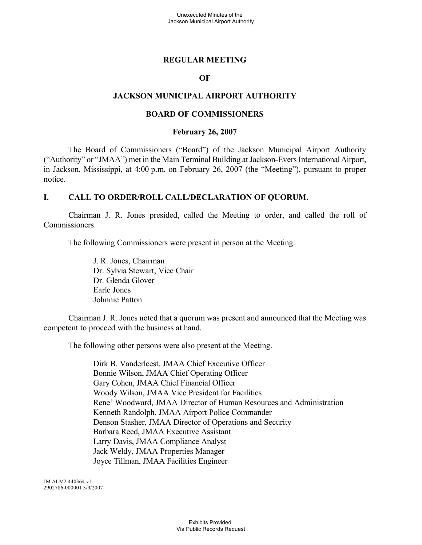#### **REGULAR MEETING**

#### **OF**

#### **JACKSON MUNICIPAL AIRPORT AUTHORITY**

#### **BOARD OF COMMISSIONERS**

#### **February 26, 2007**

The Board of Commissioners ("Board") of the Jackson Municipal Airport Authority ("Authority" or "JMAA") met in the Main Terminal Building at Jackson-Evers InternationalAirport, in Jackson, Mississippi, at 4:00 p.m. on February 26, 2007 (the "Meeting"), pursuant to proper notice.

#### **I. CALL TO ORDER/ROLL CALL/DECLARATION OF QUORUM.**

Chairman J. R. Jones presided, called the Meeting to order, and called the roll of Commissioners.

The following Commissioners were present in person at the Meeting.

J. R. Jones, Chairman Dr. Sylvia Stewart, Vice Chair Dr. Glenda Glover Earle Jones Johnnie Patton

Chairman J. R. Jones noted that a quorum was present and announced that the Meeting was competent to proceed with the business at hand.

The following other persons were also present at the Meeting.

Dirk B. Vanderleest, JMAA Chief Executive Officer Bonnie Wilson, JMAA Chief Operating Officer Gary Cohen, JMAA Chief Financial Officer Woody Wilson, JMAA Vice President for Facilities Rene' Woodward, JMAA Director of Human Resources and Administration Kenneth Randolph, JMAA Airport Police Commander Denson Stasher, JMAA Director of Operations and Security Barbara Reed, JMAA Executive Assistant Larry Davis, JMAA Compliance Analyst Jack Weldy, JMAA Properties Manager Joyce Tillman, JMAA Facilities Engineer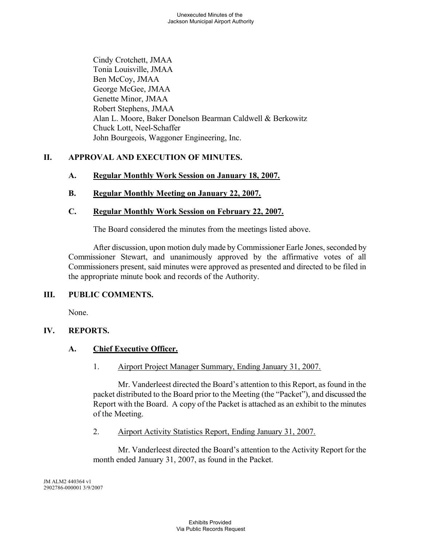Cindy Crotchett, JMAA Tonia Louisville, JMAA Ben McCoy, JMAA George McGee, JMAA Genette Minor, JMAA Robert Stephens, JMAA Alan L. Moore, Baker Donelson Bearman Caldwell & Berkowitz Chuck Lott, Neel-Schaffer John Bourgeois, Waggoner Engineering, Inc.

# **II. APPROVAL AND EXECUTION OF MINUTES.**

# **A. Regular Monthly Work Session on January 18, 2007.**

# **B. Regular Monthly Meeting on January 22, 2007.**

# **C. Regular Monthly Work Session on February 22, 2007.**

The Board considered the minutes from the meetings listed above.

After discussion, upon motion duly made by Commissioner Earle Jones, seconded by Commissioner Stewart, and unanimously approved by the affirmative votes of all Commissioners present, said minutes were approved as presented and directed to be filed in the appropriate minute book and records of the Authority.

# **III. PUBLIC COMMENTS.**

None.

# **IV. REPORTS.**

# **A. Chief Executive Officer.**

1. Airport Project Manager Summary, Ending January 31, 2007.

Mr. Vanderleest directed the Board's attention to this Report, as found in the packet distributed to the Board prior to the Meeting (the "Packet"), and discussed the Report with the Board. A copy of the Packet is attached as an exhibit to the minutes of the Meeting.

2. Airport Activity Statistics Report, Ending January 31, 2007.

Mr. Vanderleest directed the Board's attention to the Activity Report for the month ended January 31, 2007, as found in the Packet.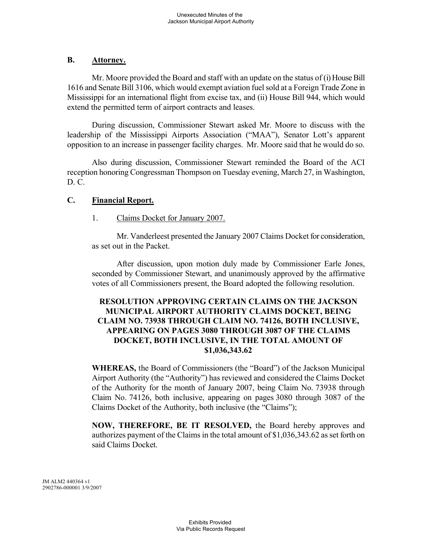### **B. Attorney.**

Mr. Moore provided the Board and staff with an update on the status of (i) House Bill 1616 and Senate Bill 3106, which would exempt aviation fuel sold at a Foreign Trade Zone in Mississippi for an international flight from excise tax, and (ii) House Bill 944, which would extend the permitted term of airport contracts and leases.

During discussion, Commissioner Stewart asked Mr. Moore to discuss with the leadership of the Mississippi Airports Association ("MAA"), Senator Lott's apparent opposition to an increase in passenger facility charges. Mr. Moore said that he would do so.

Also during discussion, Commissioner Stewart reminded the Board of the ACI reception honoring Congressman Thompson on Tuesday evening, March 27, in Washington, D. C.

# **C. Financial Report.**

# 1. Claims Docket for January 2007.

Mr. Vanderleest presented the January 2007 Claims Docket for consideration, as set out in the Packet.

After discussion, upon motion duly made by Commissioner Earle Jones, seconded by Commissioner Stewart, and unanimously approved by the affirmative votes of all Commissioners present, the Board adopted the following resolution.

# **RESOLUTION APPROVING CERTAIN CLAIMS ON THE JACKSON MUNICIPAL AIRPORT AUTHORITY CLAIMS DOCKET, BEING CLAIM NO. 73938 THROUGH CLAIM NO. 74126, BOTH INCLUSIVE, APPEARING ON PAGES 3080 THROUGH 3087 OF THE CLAIMS DOCKET, BOTH INCLUSIVE, IN THE TOTAL AMOUNT OF \$1,036,343.62**

**WHEREAS,** the Board of Commissioners (the "Board") of the Jackson Municipal Airport Authority (the "Authority") has reviewed and considered the Claims Docket of the Authority for the month of January 2007, being Claim No. 73938 through Claim No. 74126, both inclusive, appearing on pages 3080 through 3087 of the Claims Docket of the Authority, both inclusive (the "Claims");

**NOW, THEREFORE, BE IT RESOLVED,** the Board hereby approves and authorizes payment of the Claims in the total amount of \$1,036,343.62 as set forth on said Claims Docket.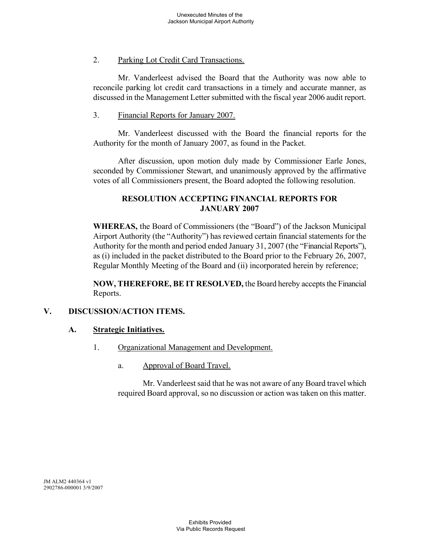# 2. Parking Lot Credit Card Transactions.

Mr. Vanderleest advised the Board that the Authority was now able to reconcile parking lot credit card transactions in a timely and accurate manner, as discussed in the Management Letter submitted with the fiscal year 2006 audit report.

#### 3. Financial Reports for January 2007.

Mr. Vanderleest discussed with the Board the financial reports for the Authority for the month of January 2007, as found in the Packet.

After discussion, upon motion duly made by Commissioner Earle Jones, seconded by Commissioner Stewart, and unanimously approved by the affirmative votes of all Commissioners present, the Board adopted the following resolution.

### **RESOLUTION ACCEPTING FINANCIAL REPORTS FOR JANUARY 2007**

**WHEREAS,** the Board of Commissioners (the "Board") of the Jackson Municipal Airport Authority (the "Authority") has reviewed certain financial statements for the Authority for the month and period ended January 31, 2007 (the "Financial Reports"), as (i) included in the packet distributed to the Board prior to the February 26, 2007, Regular Monthly Meeting of the Board and (ii) incorporated herein by reference;

**NOW, THEREFORE, BE IT RESOLVED,** the Board hereby accepts the Financial Reports.

# **V. DISCUSSION/ACTION ITEMS.**

#### **A. Strategic Initiatives.**

- 1. Organizational Management and Development.
	- a. Approval of Board Travel.

Mr. Vanderleest said that he was not aware of any Board travel which required Board approval, so no discussion or action was taken on this matter.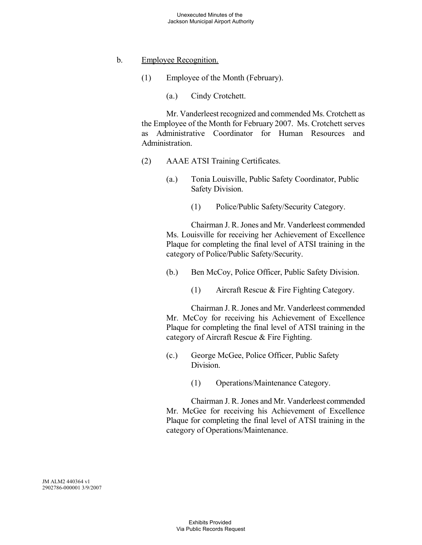### b. Employee Recognition.

(1) Employee of the Month (February).

(a.) Cindy Crotchett.

Mr. Vanderleest recognized and commended Ms. Crotchett as the Employee of the Month for February 2007. Ms. Crotchett serves as Administrative Coordinator for Human Resources and Administration.

- (2) AAAE ATSI Training Certificates.
	- (a.) Tonia Louisville, Public Safety Coordinator, Public Safety Division.
		- (1) Police/Public Safety/Security Category.

Chairman J. R. Jones and Mr. Vanderleest commended Ms. Louisville for receiving her Achievement of Excellence Plaque for completing the final level of ATSI training in the category of Police/Public Safety/Security.

- (b.) Ben McCoy, Police Officer, Public Safety Division.
	- (1) Aircraft Rescue & Fire Fighting Category.

Chairman J. R. Jones and Mr. Vanderleest commended Mr. McCoy for receiving his Achievement of Excellence Plaque for completing the final level of ATSI training in the category of Aircraft Rescue & Fire Fighting.

- (c.) George McGee, Police Officer, Public Safety Division.
	- (1) Operations/Maintenance Category.

Chairman J. R. Jones and Mr. Vanderleest commended Mr. McGee for receiving his Achievement of Excellence Plaque for completing the final level of ATSI training in the category of Operations/Maintenance.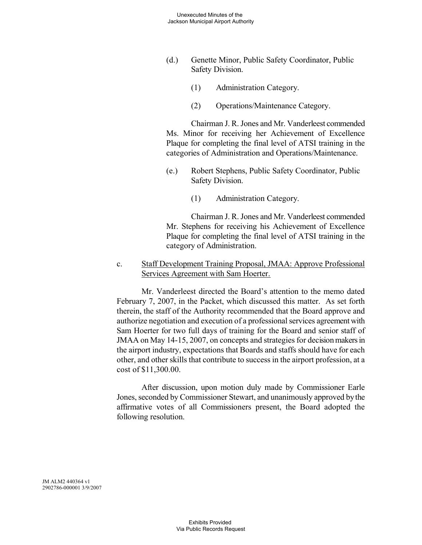- (d.) Genette Minor, Public Safety Coordinator, Public Safety Division.
	- (1) Administration Category.
	- (2) Operations/Maintenance Category.

Chairman J. R. Jones and Mr. Vanderleest commended Ms. Minor for receiving her Achievement of Excellence Plaque for completing the final level of ATSI training in the categories of Administration and Operations/Maintenance.

- (e.) Robert Stephens, Public Safety Coordinator, Public Safety Division.
	- (1) Administration Category.

Chairman J. R. Jones and Mr. Vanderleest commended Mr. Stephens for receiving his Achievement of Excellence Plaque for completing the final level of ATSI training in the category of Administration.

c. Staff Development Training Proposal, JMAA: Approve Professional Services Agreement with Sam Hoerter.

Mr. Vanderleest directed the Board's attention to the memo dated February 7, 2007, in the Packet, which discussed this matter. As set forth therein, the staff of the Authority recommended that the Board approve and authorize negotiation and execution of a professional services agreement with Sam Hoerter for two full days of training for the Board and senior staff of JMAA on May 14-15, 2007, on concepts and strategies for decision makers in the airport industry, expectations that Boards and staffs should have for each other, and other skills that contribute to success in the airport profession, at a cost of \$11,300.00.

After discussion, upon motion duly made by Commissioner Earle Jones, seconded by Commissioner Stewart, and unanimously approved bythe affirmative votes of all Commissioners present, the Board adopted the following resolution.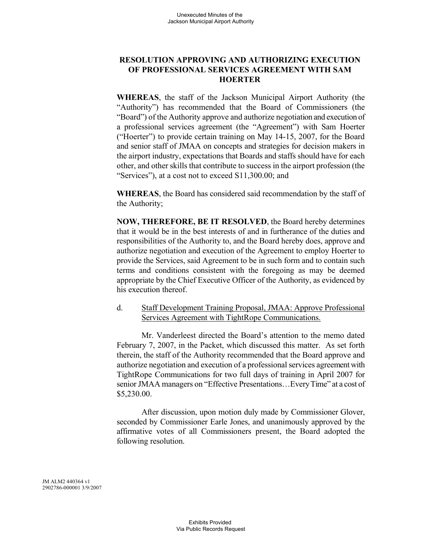# **RESOLUTION APPROVING AND AUTHORIZING EXECUTION OF PROFESSIONAL SERVICES AGREEMENT WITH SAM HOERTER**

**WHEREAS**, the staff of the Jackson Municipal Airport Authority (the "Authority") has recommended that the Board of Commissioners (the "Board") of the Authority approve and authorize negotiation and execution of a professional services agreement (the "Agreement") with Sam Hoerter ("Hoerter") to provide certain training on May 14-15, 2007, for the Board and senior staff of JMAA on concepts and strategies for decision makers in the airport industry, expectations that Boards and staffs should have for each other, and other skills that contribute to success in the airport profession (the "Services"), at a cost not to exceed S11,300.00; and

**WHEREAS**, the Board has considered said recommendation by the staff of the Authority;

**NOW, THEREFORE, BE IT RESOLVED**, the Board hereby determines that it would be in the best interests of and in furtherance of the duties and responsibilities of the Authority to, and the Board hereby does, approve and authorize negotiation and execution of the Agreement to employ Hoerter to provide the Services, said Agreement to be in such form and to contain such terms and conditions consistent with the foregoing as may be deemed appropriate by the Chief Executive Officer of the Authority, as evidenced by his execution thereof.

# d. Staff Development Training Proposal, JMAA: Approve Professional Services Agreement with TightRope Communications.

Mr. Vanderleest directed the Board's attention to the memo dated February 7, 2007, in the Packet, which discussed this matter. As set forth therein, the staff of the Authority recommended that the Board approve and authorize negotiation and execution of a professional services agreement with TightRope Communications for two full days of training in April 2007 for senior JMAA managers on "Effective Presentations…EveryTime" at a cost of \$5,230.00.

After discussion, upon motion duly made by Commissioner Glover, seconded by Commissioner Earle Jones, and unanimously approved by the affirmative votes of all Commissioners present, the Board adopted the following resolution.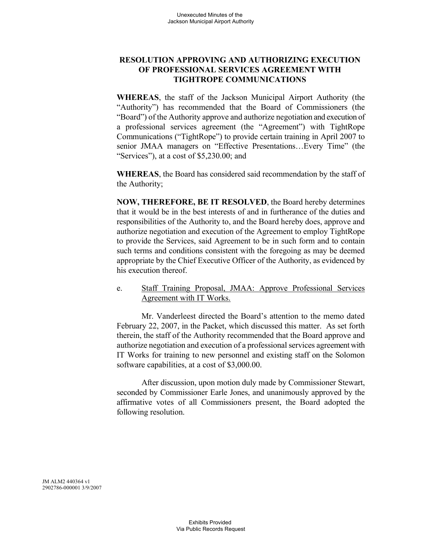# **RESOLUTION APPROVING AND AUTHORIZING EXECUTION OF PROFESSIONAL SERVICES AGREEMENT WITH TIGHTROPE COMMUNICATIONS**

**WHEREAS**, the staff of the Jackson Municipal Airport Authority (the "Authority") has recommended that the Board of Commissioners (the "Board") of the Authority approve and authorize negotiation and execution of a professional services agreement (the "Agreement") with TightRope Communications ("TightRope") to provide certain training in April 2007 to senior JMAA managers on "Effective Presentations…Every Time" (the "Services"), at a cost of \$5,230.00; and

**WHEREAS**, the Board has considered said recommendation by the staff of the Authority;

**NOW, THEREFORE, BE IT RESOLVED**, the Board hereby determines that it would be in the best interests of and in furtherance of the duties and responsibilities of the Authority to, and the Board hereby does, approve and authorize negotiation and execution of the Agreement to employ TightRope to provide the Services, said Agreement to be in such form and to contain such terms and conditions consistent with the foregoing as may be deemed appropriate by the Chief Executive Officer of the Authority, as evidenced by his execution thereof.

# e. Staff Training Proposal, JMAA: Approve Professional Services Agreement with IT Works.

Mr. Vanderleest directed the Board's attention to the memo dated February 22, 2007, in the Packet, which discussed this matter. As set forth therein, the staff of the Authority recommended that the Board approve and authorize negotiation and execution of a professional services agreement with IT Works for training to new personnel and existing staff on the Solomon software capabilities, at a cost of \$3,000.00.

After discussion, upon motion duly made by Commissioner Stewart, seconded by Commissioner Earle Jones, and unanimously approved by the affirmative votes of all Commissioners present, the Board adopted the following resolution.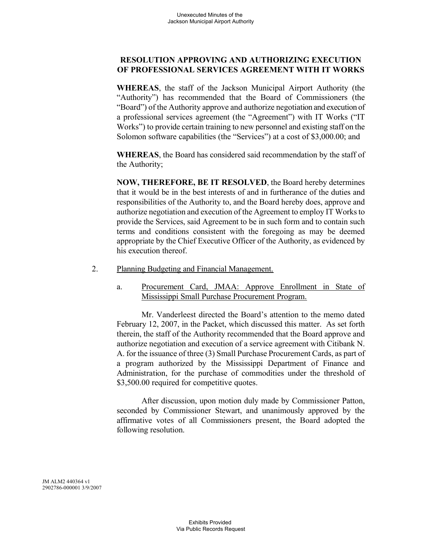# **RESOLUTION APPROVING AND AUTHORIZING EXECUTION OF PROFESSIONAL SERVICES AGREEMENT WITH IT WORKS**

**WHEREAS**, the staff of the Jackson Municipal Airport Authority (the "Authority") has recommended that the Board of Commissioners (the "Board") of the Authority approve and authorize negotiation and execution of a professional services agreement (the "Agreement") with IT Works ("IT Works") to provide certain training to new personnel and existing staff on the Solomon software capabilities (the "Services") at a cost of \$3,000.00; and

**WHEREAS**, the Board has considered said recommendation by the staff of the Authority;

**NOW, THEREFORE, BE IT RESOLVED**, the Board hereby determines that it would be in the best interests of and in furtherance of the duties and responsibilities of the Authority to, and the Board hereby does, approve and authorize negotiation and execution of the Agreement to employ IT Works to provide the Services, said Agreement to be in such form and to contain such terms and conditions consistent with the foregoing as may be deemed appropriate by the Chief Executive Officer of the Authority, as evidenced by his execution thereof.

- 2. Planning Budgeting and Financial Management.
	- a. Procurement Card, JMAA: Approve Enrollment in State of Mississippi Small Purchase Procurement Program.

Mr. Vanderleest directed the Board's attention to the memo dated February 12, 2007, in the Packet, which discussed this matter. As set forth therein, the staff of the Authority recommended that the Board approve and authorize negotiation and execution of a service agreement with Citibank N. A. for the issuance of three (3) Small Purchase Procurement Cards, as part of a program authorized by the Mississippi Department of Finance and Administration, for the purchase of commodities under the threshold of \$3,500.00 required for competitive quotes.

After discussion, upon motion duly made by Commissioner Patton, seconded by Commissioner Stewart, and unanimously approved by the affirmative votes of all Commissioners present, the Board adopted the following resolution.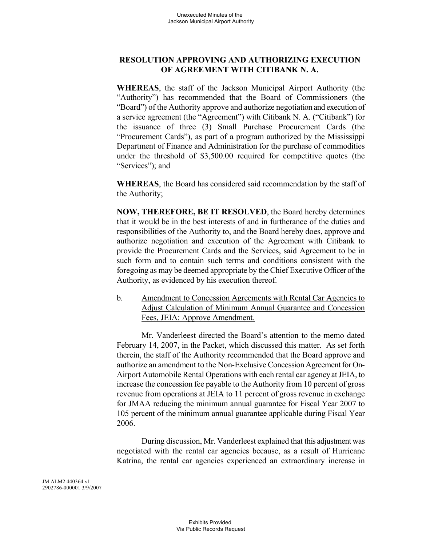# **RESOLUTION APPROVING AND AUTHORIZING EXECUTION OF AGREEMENT WITH CITIBANK N. A.**

**WHEREAS**, the staff of the Jackson Municipal Airport Authority (the "Authority") has recommended that the Board of Commissioners (the "Board") of the Authority approve and authorize negotiation and execution of a service agreement (the "Agreement") with Citibank N. A. ("Citibank") for the issuance of three (3) Small Purchase Procurement Cards (the "Procurement Cards"), as part of a program authorized by the Mississippi Department of Finance and Administration for the purchase of commodities under the threshold of \$3,500.00 required for competitive quotes (the "Services"); and

**WHEREAS**, the Board has considered said recommendation by the staff of the Authority;

**NOW, THEREFORE, BE IT RESOLVED**, the Board hereby determines that it would be in the best interests of and in furtherance of the duties and responsibilities of the Authority to, and the Board hereby does, approve and authorize negotiation and execution of the Agreement with Citibank to provide the Procurement Cards and the Services, said Agreement to be in such form and to contain such terms and conditions consistent with the foregoing as may be deemed appropriate by the Chief Executive Officer of the Authority, as evidenced by his execution thereof.

b. Amendment to Concession Agreements with Rental Car Agencies to Adjust Calculation of Minimum Annual Guarantee and Concession Fees, JEIA: Approve Amendment.

Mr. Vanderleest directed the Board's attention to the memo dated February 14, 2007, in the Packet, which discussed this matter. As set forth therein, the staff of the Authority recommended that the Board approve and authorize an amendment to the Non-Exclusive Concession Agreement for On-Airport Automobile Rental Operations with each rental car agencyat JEIA, to increase the concession fee payable to the Authority from 10 percent of gross revenue from operations at JEIA to 11 percent of gross revenue in exchange for JMAA reducing the minimum annual guarantee for Fiscal Year 2007 to 105 percent of the minimum annual guarantee applicable during Fiscal Year 2006.

During discussion, Mr. Vanderleest explained that this adjustment was negotiated with the rental car agencies because, as a result of Hurricane Katrina, the rental car agencies experienced an extraordinary increase in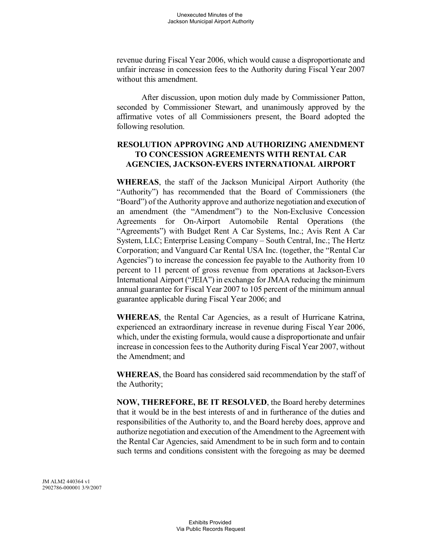revenue during Fiscal Year 2006, which would cause a disproportionate and unfair increase in concession fees to the Authority during Fiscal Year 2007 without this amendment.

After discussion, upon motion duly made by Commissioner Patton, seconded by Commissioner Stewart, and unanimously approved by the affirmative votes of all Commissioners present, the Board adopted the following resolution.

# **RESOLUTION APPROVING AND AUTHORIZING AMENDMENT TO CONCESSION AGREEMENTS WITH RENTAL CAR AGENCIES, JACKSON-EVERS INTERNATIONAL AIRPORT**

**WHEREAS**, the staff of the Jackson Municipal Airport Authority (the "Authority") has recommended that the Board of Commissioners (the "Board") of the Authority approve and authorize negotiation and execution of an amendment (the "Amendment") to the Non-Exclusive Concession Agreements for On-Airport Automobile Rental Operations (the "Agreements") with Budget Rent A Car Systems, Inc.; Avis Rent A Car System, LLC; Enterprise Leasing Company – South Central, Inc.; The Hertz Corporation; and Vanguard Car Rental USA Inc. (together, the "Rental Car Agencies") to increase the concession fee payable to the Authority from 10 percent to 11 percent of gross revenue from operations at Jackson-Evers International Airport ("JEIA") in exchange for JMAA reducing the minimum annual guarantee for Fiscal Year 2007 to 105 percent of the minimum annual guarantee applicable during Fiscal Year 2006; and

**WHEREAS**, the Rental Car Agencies, as a result of Hurricane Katrina, experienced an extraordinary increase in revenue during Fiscal Year 2006, which, under the existing formula, would cause a disproportionate and unfair increase in concession fees to the Authority during Fiscal Year 2007, without the Amendment; and

**WHEREAS**, the Board has considered said recommendation by the staff of the Authority;

**NOW, THEREFORE, BE IT RESOLVED**, the Board hereby determines that it would be in the best interests of and in furtherance of the duties and responsibilities of the Authority to, and the Board hereby does, approve and authorize negotiation and execution of the Amendment to the Agreement with the Rental Car Agencies, said Amendment to be in such form and to contain such terms and conditions consistent with the foregoing as may be deemed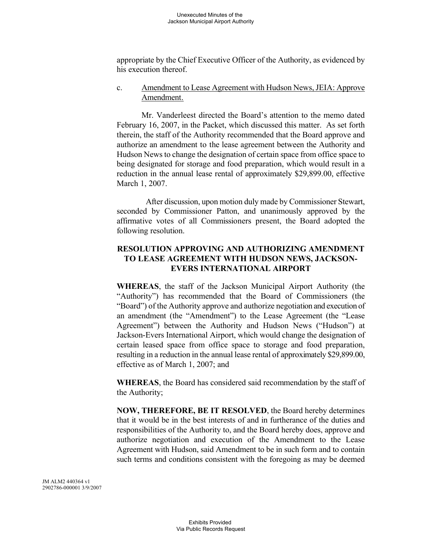appropriate by the Chief Executive Officer of the Authority, as evidenced by his execution thereof.

#### c. Amendment to Lease Agreement with Hudson News, JEIA: Approve Amendment.

Mr. Vanderleest directed the Board's attention to the memo dated February 16, 2007, in the Packet, which discussed this matter. As set forth therein, the staff of the Authority recommended that the Board approve and authorize an amendment to the lease agreement between the Authority and Hudson News to change the designation of certain space from office space to being designated for storage and food preparation, which would result in a reduction in the annual lease rental of approximately \$29,899.00, effective March 1, 2007.

After discussion, upon motion duly made by Commissioner Stewart, seconded by Commissioner Patton, and unanimously approved by the affirmative votes of all Commissioners present, the Board adopted the following resolution.

# **RESOLUTION APPROVING AND AUTHORIZING AMENDMENT TO LEASE AGREEMENT WITH HUDSON NEWS, JACKSON-EVERS INTERNATIONAL AIRPORT**

**WHEREAS**, the staff of the Jackson Municipal Airport Authority (the "Authority") has recommended that the Board of Commissioners (the "Board") of the Authority approve and authorize negotiation and execution of an amendment (the "Amendment") to the Lease Agreement (the "Lease Agreement") between the Authority and Hudson News ("Hudson") at Jackson-Evers International Airport, which would change the designation of certain leased space from office space to storage and food preparation, resulting in a reduction in the annual lease rental of approximately \$29,899.00, effective as of March 1, 2007; and

**WHEREAS**, the Board has considered said recommendation by the staff of the Authority;

**NOW, THEREFORE, BE IT RESOLVED**, the Board hereby determines that it would be in the best interests of and in furtherance of the duties and responsibilities of the Authority to, and the Board hereby does, approve and authorize negotiation and execution of the Amendment to the Lease Agreement with Hudson, said Amendment to be in such form and to contain such terms and conditions consistent with the foregoing as may be deemed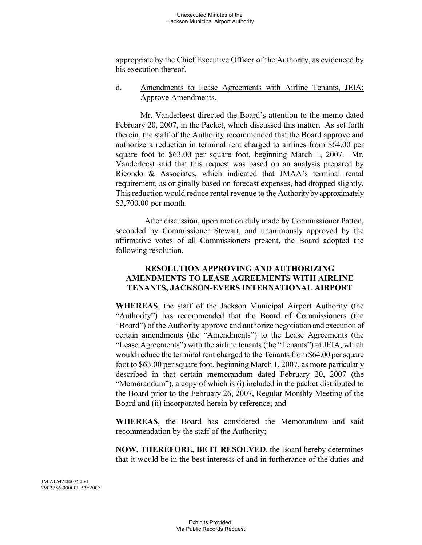appropriate by the Chief Executive Officer of the Authority, as evidenced by his execution thereof.

#### d. Amendments to Lease Agreements with Airline Tenants, JEIA: Approve Amendments.

Mr. Vanderleest directed the Board's attention to the memo dated February 20, 2007, in the Packet, which discussed this matter. As set forth therein, the staff of the Authority recommended that the Board approve and authorize a reduction in terminal rent charged to airlines from \$64.00 per square foot to \$63.00 per square foot, beginning March 1, 2007. Mr. Vanderleest said that this request was based on an analysis prepared by Ricondo & Associates, which indicated that JMAA's terminal rental requirement, as originally based on forecast expenses, had dropped slightly. This reduction would reduce rental revenue to the Authorityby approximately \$3,700.00 per month.

After discussion, upon motion duly made by Commissioner Patton, seconded by Commissioner Stewart, and unanimously approved by the affirmative votes of all Commissioners present, the Board adopted the following resolution.

# **RESOLUTION APPROVING AND AUTHORIZING AMENDMENTS TO LEASE AGREEMENTS WITH AIRLINE TENANTS, JACKSON-EVERS INTERNATIONAL AIRPORT**

**WHEREAS**, the staff of the Jackson Municipal Airport Authority (the "Authority") has recommended that the Board of Commissioners (the "Board") of the Authority approve and authorize negotiation and execution of certain amendments (the "Amendments") to the Lease Agreements (the "Lease Agreements") with the airline tenants (the "Tenants") at JEIA, which would reduce the terminal rent charged to the Tenants from\$64.00 per square foot to \$63.00 per square foot, beginning March 1, 2007, as more particularly described in that certain memorandum dated February 20, 2007 (the "Memorandum"), a copy of which is (i) included in the packet distributed to the Board prior to the February 26, 2007, Regular Monthly Meeting of the Board and (ii) incorporated herein by reference; and

**WHEREAS**, the Board has considered the Memorandum and said recommendation by the staff of the Authority;

**NOW, THEREFORE, BE IT RESOLVED**, the Board hereby determines that it would be in the best interests of and in furtherance of the duties and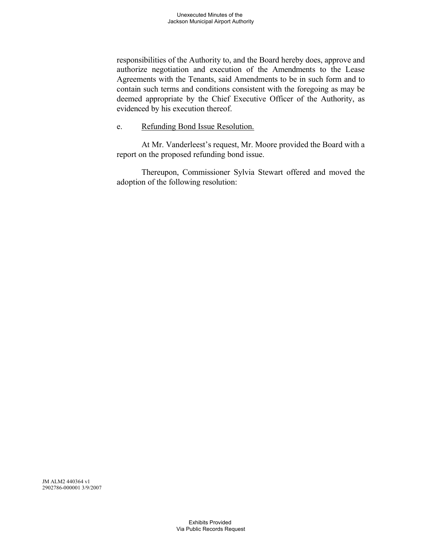responsibilities of the Authority to, and the Board hereby does, approve and authorize negotiation and execution of the Amendments to the Lease Agreements with the Tenants, said Amendments to be in such form and to contain such terms and conditions consistent with the foregoing as may be deemed appropriate by the Chief Executive Officer of the Authority, as evidenced by his execution thereof.

#### e. Refunding Bond Issue Resolution.

At Mr. Vanderleest's request, Mr. Moore provided the Board with a report on the proposed refunding bond issue.

Thereupon, Commissioner Sylvia Stewart offered and moved the adoption of the following resolution: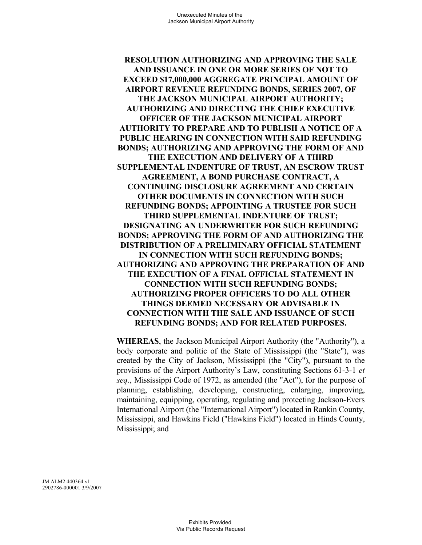**RESOLUTION AUTHORIZING AND APPROVING THE SALE AND ISSUANCE IN ONE OR MORE SERIES OF NOT TO EXCEED \$17,000,000 AGGREGATE PRINCIPAL AMOUNT OF AIRPORT REVENUE REFUNDING BONDS, SERIES 2007, OF THE JACKSON MUNICIPAL AIRPORT AUTHORITY; AUTHORIZING AND DIRECTING THE CHIEF EXECUTIVE OFFICER OF THE JACKSON MUNICIPAL AIRPORT AUTHORITY TO PREPARE AND TO PUBLISH A NOTICE OF A PUBLIC HEARING IN CONNECTION WITH SAID REFUNDING BONDS; AUTHORIZING AND APPROVING THE FORM OF AND THE EXECUTION AND DELIVERY OF A THIRD SUPPLEMENTAL INDENTURE OF TRUST, AN ESCROW TRUST AGREEMENT, A BOND PURCHASE CONTRACT, A CONTINUING DISCLOSURE AGREEMENT AND CERTAIN OTHER DOCUMENTS IN CONNECTION WITH SUCH REFUNDING BONDS; APPOINTING A TRUSTEE FOR SUCH THIRD SUPPLEMENTAL INDENTURE OF TRUST; DESIGNATING AN UNDERWRITER FOR SUCH REFUNDING BONDS; APPROVING THE FORM OF AND AUTHORIZING THE DISTRIBUTION OF A PRELIMINARY OFFICIAL STATEMENT IN CONNECTION WITH SUCH REFUNDING BONDS; AUTHORIZING AND APPROVING THE PREPARATION OF AND THE EXECUTION OF A FINAL OFFICIAL STATEMENT IN CONNECTION WITH SUCH REFUNDING BONDS; AUTHORIZING PROPER OFFICERS TO DO ALL OTHER THINGS DEEMED NECESSARY OR ADVISABLE IN CONNECTION WITH THE SALE AND ISSUANCE OF SUCH REFUNDING BONDS; AND FOR RELATED PURPOSES.**

**WHEREAS**, the Jackson Municipal Airport Authority (the "Authority"), a body corporate and politic of the State of Mississippi (the "State"), was created by the City of Jackson, Mississippi (the "City"), pursuant to the provisions of the Airport Authority's Law, constituting Sections 61-3-1 *et seq*., Mississippi Code of 1972, as amended (the "Act"), for the purpose of planning, establishing, developing, constructing, enlarging, improving, maintaining, equipping, operating, regulating and protecting Jackson-Evers International Airport (the "International Airport") located in Rankin County, Mississippi, and Hawkins Field ("Hawkins Field") located in Hinds County, Mississippi; and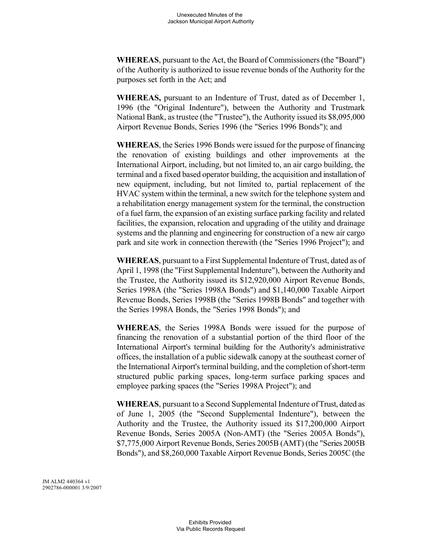**WHEREAS**, pursuant to the Act, the Board of Commissioners (the "Board") of the Authority is authorized to issue revenue bonds of the Authority for the purposes set forth in the Act; and

**WHEREAS,** pursuant to an Indenture of Trust, dated as of December 1, 1996 (the "Original Indenture"), between the Authority and Trustmark National Bank, as trustee (the "Trustee"), the Authority issued its \$8,095,000 Airport Revenue Bonds, Series 1996 (the "Series 1996 Bonds"); and

**WHEREAS**, the Series 1996 Bonds were issued for the purpose of financing the renovation of existing buildings and other improvements at the International Airport, including, but not limited to, an air cargo building, the terminal and a fixed based operator building, the acquisition and installation of new equipment, including, but not limited to, partial replacement of the HVAC system within the terminal, a new switch for the telephone system and a rehabilitation energy management system for the terminal, the construction of a fuel farm, the expansion of an existing surface parking facility and related facilities, the expansion, relocation and upgrading of the utility and drainage systems and the planning and engineering for construction of a new air cargo park and site work in connection therewith (the "Series 1996 Project"); and

**WHEREAS**, pursuant to a First Supplemental Indenture of Trust, dated as of April 1, 1998 (the "First Supplemental Indenture"), between the Authorityand the Trustee, the Authority issued its \$12,920,000 Airport Revenue Bonds, Series 1998A (the "Series 1998A Bonds") and \$1,140,000 Taxable Airport Revenue Bonds, Series 1998B (the "Series 1998B Bonds" and together with the Series 1998A Bonds, the "Series 1998 Bonds"); and

**WHEREAS**, the Series 1998A Bonds were issued for the purpose of financing the renovation of a substantial portion of the third floor of the International Airport's terminal building for the Authority's administrative offices, the installation of a public sidewalk canopy at the southeast corner of the International Airport's terminal building, and the completion ofshort-term structured public parking spaces, long-term surface parking spaces and employee parking spaces (the "Series 1998A Project"); and

WHEREAS, pursuant to a Second Supplemental Indenture of Trust, dated as of June 1, 2005 (the "Second Supplemental Indenture"), between the Authority and the Trustee, the Authority issued its \$17,200,000 Airport Revenue Bonds, Series 2005A (Non-AMT) (the "Series 2005A Bonds"), \$7,775,000 Airport Revenue Bonds, Series 2005B (AMT) (the "Series 2005B Bonds"), and \$8,260,000 Taxable Airport Revenue Bonds, Series 2005C (the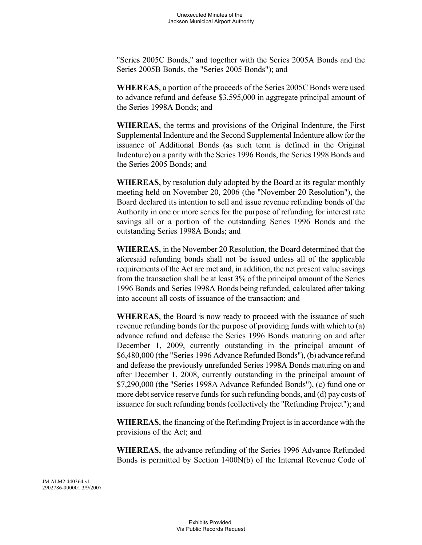"Series 2005C Bonds," and together with the Series 2005A Bonds and the Series 2005B Bonds, the "Series 2005 Bonds"); and

**WHEREAS**, a portion of the proceeds of the Series 2005C Bonds were used to advance refund and defease \$3,595,000 in aggregate principal amount of the Series 1998A Bonds; and

**WHEREAS**, the terms and provisions of the Original Indenture, the First Supplemental Indenture and the Second Supplemental Indenture allow for the issuance of Additional Bonds (as such term is defined in the Original Indenture) on a parity with the Series 1996 Bonds, the Series 1998 Bonds and the Series 2005 Bonds; and

**WHEREAS**, by resolution duly adopted by the Board at its regular monthly meeting held on November 20, 2006 (the "November 20 Resolution"), the Board declared its intention to sell and issue revenue refunding bonds of the Authority in one or more series for the purpose of refunding for interest rate savings all or a portion of the outstanding Series 1996 Bonds and the outstanding Series 1998A Bonds; and

**WHEREAS**, in the November 20 Resolution, the Board determined that the aforesaid refunding bonds shall not be issued unless all of the applicable requirements of the Act are met and, in addition, the net present value savings from the transaction shall be at least 3% of the principal amount of the Series 1996 Bonds and Series 1998A Bonds being refunded, calculated after taking into account all costs of issuance of the transaction; and

**WHEREAS**, the Board is now ready to proceed with the issuance of such revenue refunding bonds for the purpose of providing funds with which to (a) advance refund and defease the Series 1996 Bonds maturing on and after December 1, 2009, currently outstanding in the principal amount of \$6,480,000 (the "Series 1996 Advance Refunded Bonds"), (b) advance refund and defease the previously unrefunded Series 1998A Bonds maturing on and after December 1, 2008, currently outstanding in the principal amount of \$7,290,000 (the "Series 1998A Advance Refunded Bonds"), (c) fund one or more debt service reserve funds for such refunding bonds, and (d) paycosts of issuance for such refunding bonds (collectively the "Refunding Project"); and

**WHEREAS**, the financing of the Refunding Project is in accordance with the provisions of the Act; and

**WHEREAS**, the advance refunding of the Series 1996 Advance Refunded Bonds is permitted by Section 1400N(b) of the Internal Revenue Code of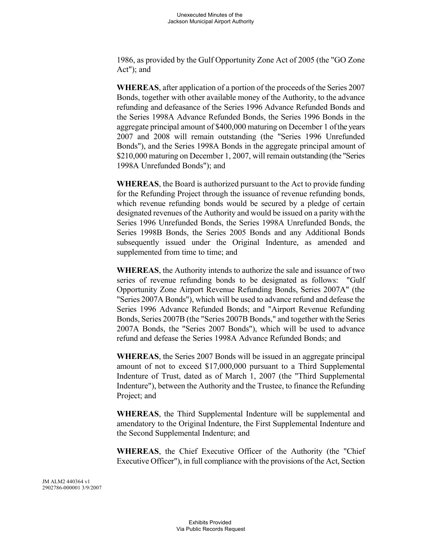1986, as provided by the Gulf Opportunity Zone Act of 2005 (the "GO Zone Act"); and

**WHEREAS**, after application of a portion of the proceeds of the Series 2007 Bonds, together with other available money of the Authority, to the advance refunding and defeasance of the Series 1996 Advance Refunded Bonds and the Series 1998A Advance Refunded Bonds, the Series 1996 Bonds in the aggregate principal amount of \$400,000 maturing on December 1 ofthe years 2007 and 2008 will remain outstanding (the "Series 1996 Unrefunded Bonds"), and the Series 1998A Bonds in the aggregate principal amount of \$210,000 maturing on December 1, 2007, will remain outstanding (the "Series 1998A Unrefunded Bonds"); and

**WHEREAS**, the Board is authorized pursuant to the Act to provide funding for the Refunding Project through the issuance of revenue refunding bonds, which revenue refunding bonds would be secured by a pledge of certain designated revenues of the Authority and would be issued on a parity with the Series 1996 Unrefunded Bonds, the Series 1998A Unrefunded Bonds, the Series 1998B Bonds, the Series 2005 Bonds and any Additional Bonds subsequently issued under the Original Indenture, as amended and supplemented from time to time; and

**WHEREAS**, the Authority intends to authorize the sale and issuance of two series of revenue refunding bonds to be designated as follows: "Gulf Opportunity Zone Airport Revenue Refunding Bonds, Series 2007A" (the "Series 2007A Bonds"), which will be used to advance refund and defease the Series 1996 Advance Refunded Bonds; and "Airport Revenue Refunding Bonds, Series 2007B (the "Series 2007B Bonds," and together with the Series 2007A Bonds, the "Series 2007 Bonds"), which will be used to advance refund and defease the Series 1998A Advance Refunded Bonds; and

**WHEREAS**, the Series 2007 Bonds will be issued in an aggregate principal amount of not to exceed \$17,000,000 pursuant to a Third Supplemental Indenture of Trust, dated as of March 1, 2007 (the "Third Supplemental Indenture"), between the Authority and the Trustee, to finance the Refunding Project; and

**WHEREAS**, the Third Supplemental Indenture will be supplemental and amendatory to the Original Indenture, the First Supplemental Indenture and the Second Supplemental Indenture; and

**WHEREAS**, the Chief Executive Officer of the Authority (the "Chief Executive Officer"), in full compliance with the provisions of the Act, Section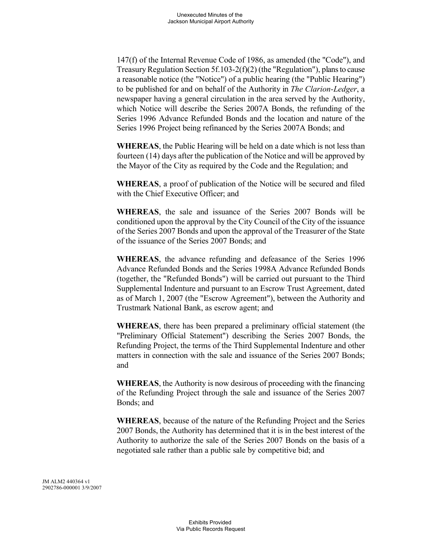147(f) of the Internal Revenue Code of 1986, as amended (the "Code"), and Treasury Regulation Section 5f.103-2(f)(2) (the "Regulation"), plans to cause a reasonable notice (the "Notice") of a public hearing (the "Public Hearing") to be published for and on behalf of the Authority in *The Clarion-Ledger*, a newspaper having a general circulation in the area served by the Authority, which Notice will describe the Series 2007A Bonds, the refunding of the Series 1996 Advance Refunded Bonds and the location and nature of the Series 1996 Project being refinanced by the Series 2007A Bonds; and

**WHEREAS**, the Public Hearing will be held on a date which is not less than fourteen (14) days after the publication of the Notice and will be approved by the Mayor of the City as required by the Code and the Regulation; and

**WHEREAS**, a proof of publication of the Notice will be secured and filed with the Chief Executive Officer; and

**WHEREAS**, the sale and issuance of the Series 2007 Bonds will be conditioned upon the approval by the City Council of the City of the issuance of the Series 2007 Bonds and upon the approval of the Treasurer of the State of the issuance of the Series 2007 Bonds; and

**WHEREAS**, the advance refunding and defeasance of the Series 1996 Advance Refunded Bonds and the Series 1998A Advance Refunded Bonds (together, the "Refunded Bonds") will be carried out pursuant to the Third Supplemental Indenture and pursuant to an Escrow Trust Agreement, dated as of March 1, 2007 (the "Escrow Agreement"), between the Authority and Trustmark National Bank, as escrow agent; and

**WHEREAS**, there has been prepared a preliminary official statement (the "Preliminary Official Statement") describing the Series 2007 Bonds, the Refunding Project, the terms of the Third Supplemental Indenture and other matters in connection with the sale and issuance of the Series 2007 Bonds; and

**WHEREAS**, the Authority is now desirous of proceeding with the financing of the Refunding Project through the sale and issuance of the Series 2007 Bonds; and

**WHEREAS**, because of the nature of the Refunding Project and the Series 2007 Bonds, the Authority has determined that it is in the best interest of the Authority to authorize the sale of the Series 2007 Bonds on the basis of a negotiated sale rather than a public sale by competitive bid; and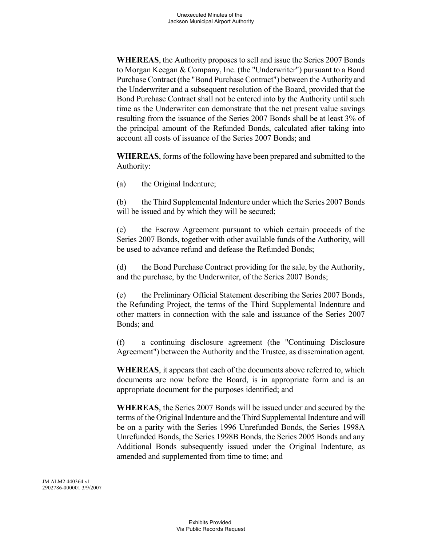**WHEREAS**, the Authority proposes to sell and issue the Series 2007 Bonds to Morgan Keegan & Company, Inc. (the "Underwriter") pursuant to a Bond Purchase Contract (the "Bond Purchase Contract") between the Authorityand the Underwriter and a subsequent resolution of the Board, provided that the Bond Purchase Contract shall not be entered into by the Authority until such time as the Underwriter can demonstrate that the net present value savings resulting from the issuance of the Series 2007 Bonds shall be at least 3% of the principal amount of the Refunded Bonds, calculated after taking into account all costs of issuance of the Series 2007 Bonds; and

**WHEREAS**, forms of the following have been prepared and submitted to the Authority:

(a) the Original Indenture;

(b) the Third Supplemental Indenture under which the Series 2007 Bonds will be issued and by which they will be secured;

(c) the Escrow Agreement pursuant to which certain proceeds of the Series 2007 Bonds, together with other available funds of the Authority, will be used to advance refund and defease the Refunded Bonds;

(d) the Bond Purchase Contract providing for the sale, by the Authority, and the purchase, by the Underwriter, of the Series 2007 Bonds;

(e) the Preliminary Official Statement describing the Series 2007 Bonds, the Refunding Project, the terms of the Third Supplemental Indenture and other matters in connection with the sale and issuance of the Series 2007 Bonds; and

(f) a continuing disclosure agreement (the "Continuing Disclosure Agreement") between the Authority and the Trustee, as dissemination agent.

**WHEREAS**, it appears that each of the documents above referred to, which documents are now before the Board, is in appropriate form and is an appropriate document for the purposes identified; and

**WHEREAS**, the Series 2007 Bonds will be issued under and secured by the terms of the Original Indenture and the Third Supplemental Indenture and will be on a parity with the Series 1996 Unrefunded Bonds, the Series 1998A Unrefunded Bonds, the Series 1998B Bonds, the Series 2005 Bonds and any Additional Bonds subsequently issued under the Original Indenture, as amended and supplemented from time to time; and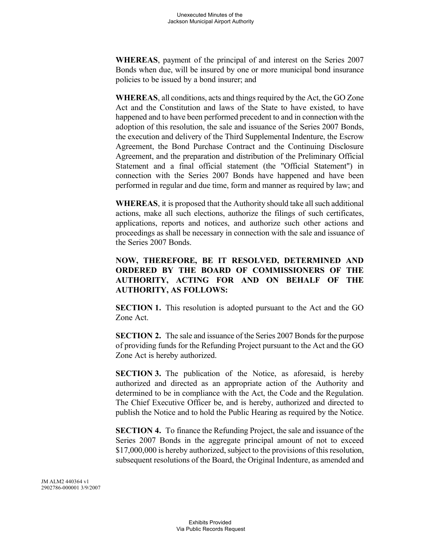**WHEREAS**, payment of the principal of and interest on the Series 2007 Bonds when due, will be insured by one or more municipal bond insurance policies to be issued by a bond insurer; and

**WHEREAS**, all conditions, acts and things required by the Act, the GO Zone Act and the Constitution and laws of the State to have existed, to have happened and to have been performed precedent to and in connection with the adoption of this resolution, the sale and issuance of the Series 2007 Bonds, the execution and delivery of the Third Supplemental Indenture, the Escrow Agreement, the Bond Purchase Contract and the Continuing Disclosure Agreement, and the preparation and distribution of the Preliminary Official Statement and a final official statement (the "Official Statement") in connection with the Series 2007 Bonds have happened and have been performed in regular and due time, form and manner as required by law; and

**WHEREAS**, it is proposed that the Authority should take all such additional actions, make all such elections, authorize the filings of such certificates, applications, reports and notices, and authorize such other actions and proceedings as shall be necessary in connection with the sale and issuance of the Series 2007 Bonds.

**NOW, THEREFORE, BE IT RESOLVED, DETERMINED AND ORDERED BY THE BOARD OF COMMISSIONERS OF THE AUTHORITY, ACTING FOR AND ON BEHALF OF THE AUTHORITY, AS FOLLOWS:**

**SECTION 1.** This resolution is adopted pursuant to the Act and the GO Zone Act.

**SECTION 2.** The sale and issuance of the Series 2007 Bonds for the purpose of providing funds for the Refunding Project pursuant to the Act and the GO Zone Act is hereby authorized.

**SECTION 3.** The publication of the Notice, as aforesaid, is hereby authorized and directed as an appropriate action of the Authority and determined to be in compliance with the Act, the Code and the Regulation. The Chief Executive Officer be, and is hereby, authorized and directed to publish the Notice and to hold the Public Hearing as required by the Notice.

**SECTION 4.** To finance the Refunding Project, the sale and issuance of the Series 2007 Bonds in the aggregate principal amount of not to exceed \$17,000,000 is hereby authorized, subject to the provisions of this resolution, subsequent resolutions of the Board, the Original Indenture, as amended and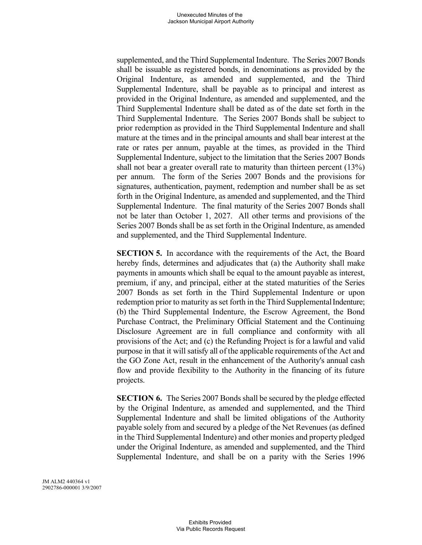supplemented, and the Third Supplemental Indenture. The Series 2007 Bonds shall be issuable as registered bonds, in denominations as provided by the Original Indenture, as amended and supplemented, and the Third Supplemental Indenture, shall be payable as to principal and interest as provided in the Original Indenture, as amended and supplemented, and the Third Supplemental Indenture shall be dated as of the date set forth in the Third Supplemental Indenture. The Series 2007 Bonds shall be subject to prior redemption as provided in the Third Supplemental Indenture and shall mature at the times and in the principal amounts and shall bear interest at the rate or rates per annum, payable at the times, as provided in the Third Supplemental Indenture, subject to the limitation that the Series 2007 Bonds shall not bear a greater overall rate to maturity than thirteen percent (13%) per annum. The form of the Series 2007 Bonds and the provisions for signatures, authentication, payment, redemption and number shall be as set forth in the Original Indenture, as amended and supplemented, and the Third Supplemental Indenture. The final maturity of the Series 2007 Bonds shall not be later than October 1, 2027. All other terms and provisions of the Series 2007 Bonds shall be as set forth in the Original Indenture, as amended and supplemented, and the Third Supplemental Indenture.

**SECTION 5.** In accordance with the requirements of the Act, the Board hereby finds, determines and adjudicates that (a) the Authority shall make payments in amounts which shall be equal to the amount payable as interest, premium, if any, and principal, either at the stated maturities of the Series 2007 Bonds as set forth in the Third Supplemental Indenture or upon redemption prior to maturity as set forth in the Third Supplemental Indenture; (b) the Third Supplemental Indenture, the Escrow Agreement, the Bond Purchase Contract, the Preliminary Official Statement and the Continuing Disclosure Agreement are in full compliance and conformity with all provisions of the Act; and (c) the Refunding Project is for a lawful and valid purpose in that it will satisfy all of the applicable requirements of the Act and the GO Zone Act, result in the enhancement of the Authority's annual cash flow and provide flexibility to the Authority in the financing of its future projects.

**SECTION 6.** The Series 2007 Bonds shall be secured by the pledge effected by the Original Indenture, as amended and supplemented, and the Third Supplemental Indenture and shall be limited obligations of the Authority payable solely from and secured by a pledge of the Net Revenues (as defined in the Third Supplemental Indenture) and other monies and property pledged under the Original Indenture, as amended and supplemented, and the Third Supplemental Indenture, and shall be on a parity with the Series 1996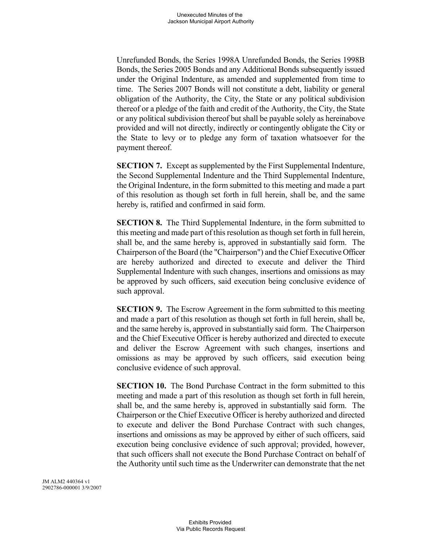Unrefunded Bonds, the Series 1998A Unrefunded Bonds, the Series 1998B Bonds, the Series 2005 Bonds and any Additional Bonds subsequently issued under the Original Indenture, as amended and supplemented from time to time. The Series 2007 Bonds will not constitute a debt, liability or general obligation of the Authority, the City, the State or any political subdivision thereof or a pledge of the faith and credit of the Authority, the City, the State or any political subdivision thereof but shall be payable solely as hereinabove provided and will not directly, indirectly or contingently obligate the City or the State to levy or to pledge any form of taxation whatsoever for the payment thereof.

**SECTION 7.** Except as supplemented by the First Supplemental Indenture, the Second Supplemental Indenture and the Third Supplemental Indenture, the Original Indenture, in the form submitted to this meeting and made a part of this resolution as though set forth in full herein, shall be, and the same hereby is, ratified and confirmed in said form.

**SECTION 8.** The Third Supplemental Indenture, in the form submitted to this meeting and made part of this resolution as though set forth in full herein, shall be, and the same hereby is, approved in substantially said form. The Chairperson of the Board (the "Chairperson") and the Chief Executive Officer are hereby authorized and directed to execute and deliver the Third Supplemental Indenture with such changes, insertions and omissions as may be approved by such officers, said execution being conclusive evidence of such approval.

**SECTION 9.** The Escrow Agreement in the form submitted to this meeting and made a part of this resolution as though set forth in full herein, shall be, and the same hereby is, approved in substantially said form. The Chairperson and the Chief Executive Officer is hereby authorized and directed to execute and deliver the Escrow Agreement with such changes, insertions and omissions as may be approved by such officers, said execution being conclusive evidence of such approval.

**SECTION 10.** The Bond Purchase Contract in the form submitted to this meeting and made a part of this resolution as though set forth in full herein, shall be, and the same hereby is, approved in substantially said form. The Chairperson or the Chief Executive Officer is hereby authorized and directed to execute and deliver the Bond Purchase Contract with such changes, insertions and omissions as may be approved by either of such officers, said execution being conclusive evidence of such approval; provided, however, that such officers shall not execute the Bond Purchase Contract on behalf of the Authority until such time as the Underwriter can demonstrate that the net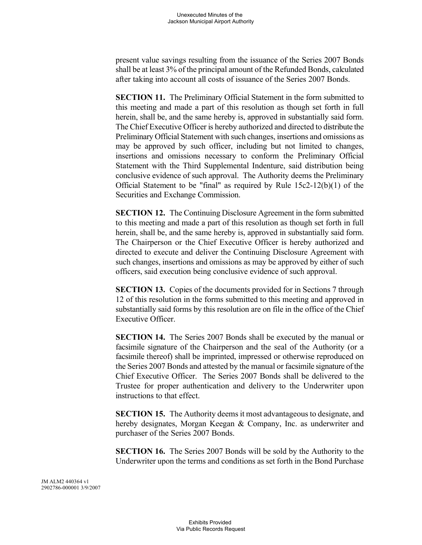present value savings resulting from the issuance of the Series 2007 Bonds shall be at least 3% of the principal amount of the Refunded Bonds, calculated after taking into account all costs of issuance of the Series 2007 Bonds.

**SECTION 11.** The Preliminary Official Statement in the form submitted to this meeting and made a part of this resolution as though set forth in full herein, shall be, and the same hereby is, approved in substantially said form. The Chief Executive Officer is hereby authorized and directed to distribute the Preliminary Official Statement with such changes, insertions and omissions as may be approved by such officer, including but not limited to changes, insertions and omissions necessary to conform the Preliminary Official Statement with the Third Supplemental Indenture, said distribution being conclusive evidence of such approval. The Authority deems the Preliminary Official Statement to be "final" as required by Rule  $15c2-12(b)(1)$  of the Securities and Exchange Commission.

**SECTION 12.** The Continuing Disclosure Agreement in the form submitted to this meeting and made a part of this resolution as though set forth in full herein, shall be, and the same hereby is, approved in substantially said form. The Chairperson or the Chief Executive Officer is hereby authorized and directed to execute and deliver the Continuing Disclosure Agreement with such changes, insertions and omissions as may be approved by either of such officers, said execution being conclusive evidence of such approval.

**SECTION 13.** Copies of the documents provided for in Sections 7 through 12 of this resolution in the forms submitted to this meeting and approved in substantially said forms by this resolution are on file in the office of the Chief Executive Officer.

**SECTION 14.** The Series 2007 Bonds shall be executed by the manual or facsimile signature of the Chairperson and the seal of the Authority (or a facsimile thereof) shall be imprinted, impressed or otherwise reproduced on the Series 2007 Bonds and attested by the manual or facsimile signature of the Chief Executive Officer. The Series 2007 Bonds shall be delivered to the Trustee for proper authentication and delivery to the Underwriter upon instructions to that effect.

**SECTION 15.** The Authority deems it most advantageous to designate, and hereby designates, Morgan Keegan & Company, Inc. as underwriter and purchaser of the Series 2007 Bonds.

**SECTION 16.** The Series 2007 Bonds will be sold by the Authority to the Underwriter upon the terms and conditions as set forth in the Bond Purchase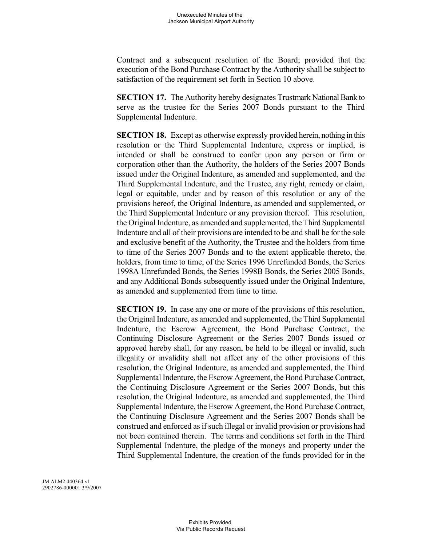Contract and a subsequent resolution of the Board; provided that the execution of the Bond Purchase Contract by the Authority shall be subject to satisfaction of the requirement set forth in Section 10 above.

**SECTION 17.** The Authority hereby designates Trustmark National Bank to serve as the trustee for the Series 2007 Bonds pursuant to the Third Supplemental Indenture.

**SECTION 18.** Except as otherwise expressly provided herein, nothing in this resolution or the Third Supplemental Indenture, express or implied, is intended or shall be construed to confer upon any person or firm or corporation other than the Authority, the holders of the Series 2007 Bonds issued under the Original Indenture, as amended and supplemented, and the Third Supplemental Indenture, and the Trustee, any right, remedy or claim, legal or equitable, under and by reason of this resolution or any of the provisions hereof, the Original Indenture, as amended and supplemented, or the Third Supplemental Indenture or any provision thereof. This resolution, the Original Indenture, as amended and supplemented, the Third Supplemental Indenture and all of their provisions are intended to be and shall be for the sole and exclusive benefit of the Authority, the Trustee and the holders from time to time of the Series 2007 Bonds and to the extent applicable thereto, the holders, from time to time, of the Series 1996 Unrefunded Bonds, the Series 1998A Unrefunded Bonds, the Series 1998B Bonds, the Series 2005 Bonds, and any Additional Bonds subsequently issued under the Original Indenture, as amended and supplemented from time to time.

**SECTION 19.** In case any one or more of the provisions of this resolution, the Original Indenture, as amended and supplemented, the Third Supplemental Indenture, the Escrow Agreement, the Bond Purchase Contract, the Continuing Disclosure Agreement or the Series 2007 Bonds issued or approved hereby shall, for any reason, be held to be illegal or invalid, such illegality or invalidity shall not affect any of the other provisions of this resolution, the Original Indenture, as amended and supplemented, the Third Supplemental Indenture, the Escrow Agreement, the Bond Purchase Contract, the Continuing Disclosure Agreement or the Series 2007 Bonds, but this resolution, the Original Indenture, as amended and supplemented, the Third Supplemental Indenture, the Escrow Agreement, the Bond Purchase Contract, the Continuing Disclosure Agreement and the Series 2007 Bonds shall be construed and enforced as if such illegal or invalid provision or provisions had not been contained therein. The terms and conditions set forth in the Third Supplemental Indenture, the pledge of the moneys and property under the Third Supplemental Indenture, the creation of the funds provided for in the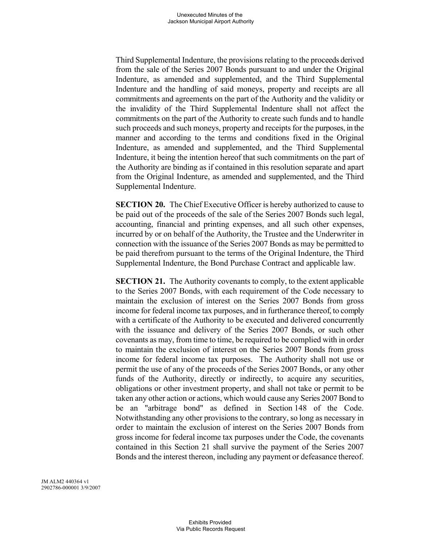Third Supplemental Indenture, the provisions relating to the proceeds derived from the sale of the Series 2007 Bonds pursuant to and under the Original Indenture, as amended and supplemented, and the Third Supplemental Indenture and the handling of said moneys, property and receipts are all commitments and agreements on the part of the Authority and the validity or the invalidity of the Third Supplemental Indenture shall not affect the commitments on the part of the Authority to create such funds and to handle such proceeds and such moneys, property and receipts for the purposes, in the manner and according to the terms and conditions fixed in the Original Indenture, as amended and supplemented, and the Third Supplemental Indenture, it being the intention hereof that such commitments on the part of the Authority are binding as if contained in this resolution separate and apart from the Original Indenture, as amended and supplemented, and the Third Supplemental Indenture.

**SECTION 20.** The Chief Executive Officer is hereby authorized to cause to be paid out of the proceeds of the sale of the Series 2007 Bonds such legal, accounting, financial and printing expenses, and all such other expenses, incurred by or on behalf of the Authority, the Trustee and the Underwriter in connection with the issuance of the Series 2007 Bonds as may be permitted to be paid therefrom pursuant to the terms of the Original Indenture, the Third Supplemental Indenture, the Bond Purchase Contract and applicable law.

**SECTION 21.** The Authority covenants to comply, to the extent applicable to the Series 2007 Bonds, with each requirement of the Code necessary to maintain the exclusion of interest on the Series 2007 Bonds from gross income for federal income tax purposes, and in furtherance thereof, to comply with a certificate of the Authority to be executed and delivered concurrently with the issuance and delivery of the Series 2007 Bonds, or such other covenants as may, from time to time, be required to be complied with in order to maintain the exclusion of interest on the Series 2007 Bonds from gross income for federal income tax purposes. The Authority shall not use or permit the use of any of the proceeds of the Series 2007 Bonds, or any other funds of the Authority, directly or indirectly, to acquire any securities, obligations or other investment property, and shall not take or permit to be taken any other action or actions, which would cause any Series 2007 Bond to be an "arbitrage bond" as defined in Section 148 of the Code. Notwithstanding any other provisions to the contrary, so long as necessary in order to maintain the exclusion of interest on the Series 2007 Bonds from gross income for federal income tax purposes under the Code, the covenants contained in this Section 21 shall survive the payment of the Series 2007 Bonds and the interest thereon, including any payment or defeasance thereof.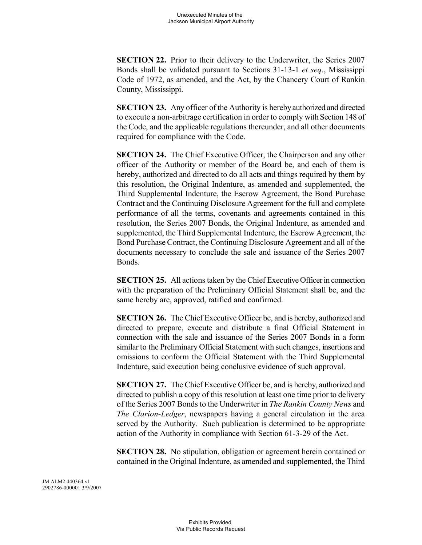**SECTION 22.** Prior to their delivery to the Underwriter, the Series 2007 Bonds shall be validated pursuant to Sections 31-13-1 *et seq*., Mississippi Code of 1972, as amended, and the Act, by the Chancery Court of Rankin County, Mississippi.

**SECTION 23.** Any officer of the Authority is hereby authorized and directed to execute a non-arbitrage certification in order to comply with Section 148 of the Code, and the applicable regulations thereunder, and all other documents required for compliance with the Code.

**SECTION 24.** The Chief Executive Officer, the Chairperson and any other officer of the Authority or member of the Board be, and each of them is hereby, authorized and directed to do all acts and things required by them by this resolution, the Original Indenture, as amended and supplemented, the Third Supplemental Indenture, the Escrow Agreement, the Bond Purchase Contract and the Continuing Disclosure Agreement for the full and complete performance of all the terms, covenants and agreements contained in this resolution, the Series 2007 Bonds, the Original Indenture, as amended and supplemented, the Third Supplemental Indenture, the Escrow Agreement, the Bond Purchase Contract, the Continuing Disclosure Agreement and all of the documents necessary to conclude the sale and issuance of the Series 2007 **Bonds**.

**SECTION 25.** All actions taken by the Chief Executive Officer in connection with the preparation of the Preliminary Official Statement shall be, and the same hereby are, approved, ratified and confirmed.

**SECTION 26.** The Chief Executive Officer be, and is hereby, authorized and directed to prepare, execute and distribute a final Official Statement in connection with the sale and issuance of the Series 2007 Bonds in a form similar to the Preliminary Official Statement with such changes, insertions and omissions to conform the Official Statement with the Third Supplemental Indenture, said execution being conclusive evidence of such approval.

**SECTION 27.** The Chief Executive Officer be, and is hereby, authorized and directed to publish a copy of this resolution at least one time prior to delivery of the Series 2007 Bonds to the Underwriter in *The Rankin County News* and *The Clarion-Ledger*, newspapers having a general circulation in the area served by the Authority. Such publication is determined to be appropriate action of the Authority in compliance with Section 61-3-29 of the Act.

**SECTION 28.** No stipulation, obligation or agreement herein contained or contained in the Original Indenture, as amended and supplemented, the Third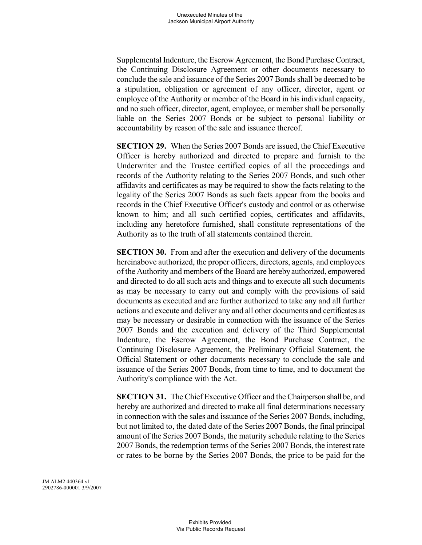Supplemental Indenture, the Escrow Agreement, the Bond Purchase Contract, the Continuing Disclosure Agreement or other documents necessary to conclude the sale and issuance of the Series 2007 Bonds shall be deemed to be a stipulation, obligation or agreement of any officer, director, agent or employee of the Authority or member of the Board in his individual capacity, and no such officer, director, agent, employee, or member shall be personally liable on the Series 2007 Bonds or be subject to personal liability or accountability by reason of the sale and issuance thereof.

**SECTION 29.** When the Series 2007 Bonds are issued, the Chief Executive Officer is hereby authorized and directed to prepare and furnish to the Underwriter and the Trustee certified copies of all the proceedings and records of the Authority relating to the Series 2007 Bonds, and such other affidavits and certificates as may be required to show the facts relating to the legality of the Series 2007 Bonds as such facts appear from the books and records in the Chief Executive Officer's custody and control or as otherwise known to him; and all such certified copies, certificates and affidavits, including any heretofore furnished, shall constitute representations of the Authority as to the truth of all statements contained therein.

**SECTION 30.** From and after the execution and delivery of the documents hereinabove authorized, the proper officers, directors, agents, and employees of the Authority and members of the Board are herebyauthorized, empowered and directed to do all such acts and things and to execute all such documents as may be necessary to carry out and comply with the provisions of said documents as executed and are further authorized to take any and all further actions and execute and deliver any and all other documents and certificates as may be necessary or desirable in connection with the issuance of the Series 2007 Bonds and the execution and delivery of the Third Supplemental Indenture, the Escrow Agreement, the Bond Purchase Contract, the Continuing Disclosure Agreement, the Preliminary Official Statement, the Official Statement or other documents necessary to conclude the sale and issuance of the Series 2007 Bonds, from time to time, and to document the Authority's compliance with the Act.

**SECTION 31.** The Chief Executive Officer and the Chairperson shall be, and hereby are authorized and directed to make all final determinations necessary in connection with the sales and issuance of the Series 2007 Bonds, including, but not limited to, the dated date of the Series 2007 Bonds, the final principal amount of the Series 2007 Bonds, the maturity schedule relating to the Series 2007 Bonds, the redemption terms of the Series 2007 Bonds, the interest rate or rates to be borne by the Series 2007 Bonds, the price to be paid for the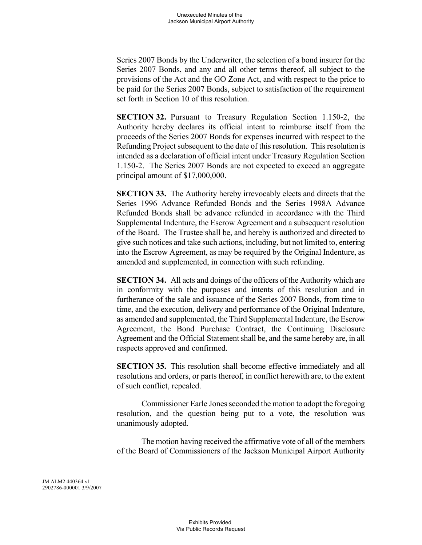Series 2007 Bonds by the Underwriter, the selection of a bond insurer for the Series 2007 Bonds, and any and all other terms thereof, all subject to the provisions of the Act and the GO Zone Act, and with respect to the price to be paid for the Series 2007 Bonds, subject to satisfaction of the requirement set forth in Section 10 of this resolution.

**SECTION 32.** Pursuant to Treasury Regulation Section 1.150-2, the Authority hereby declares its official intent to reimburse itself from the proceeds of the Series 2007 Bonds for expenses incurred with respect to the Refunding Project subsequent to the date of this resolution. This resolution is intended as a declaration of official intent under Treasury Regulation Section 1.150-2. The Series 2007 Bonds are not expected to exceed an aggregate principal amount of \$17,000,000.

**SECTION 33.** The Authority hereby irrevocably elects and directs that the Series 1996 Advance Refunded Bonds and the Series 1998A Advance Refunded Bonds shall be advance refunded in accordance with the Third Supplemental Indenture, the Escrow Agreement and a subsequent resolution of the Board. The Trustee shall be, and hereby is authorized and directed to give such notices and take such actions, including, but not limited to, entering into the Escrow Agreement, as may be required by the Original Indenture, as amended and supplemented, in connection with such refunding.

**SECTION 34.** All acts and doings of the officers of the Authority which are in conformity with the purposes and intents of this resolution and in furtherance of the sale and issuance of the Series 2007 Bonds, from time to time, and the execution, delivery and performance of the Original Indenture, as amended and supplemented, the Third Supplemental Indenture, the Escrow Agreement, the Bond Purchase Contract, the Continuing Disclosure Agreement and the Official Statement shall be, and the same hereby are, in all respects approved and confirmed.

**SECTION 35.** This resolution shall become effective immediately and all resolutions and orders, or parts thereof, in conflict herewith are, to the extent of such conflict, repealed.

Commissioner Earle Jones seconded the motion to adopt the foregoing resolution, and the question being put to a vote, the resolution was unanimously adopted.

The motion having received the affirmative vote of all of the members of the Board of Commissioners of the Jackson Municipal Airport Authority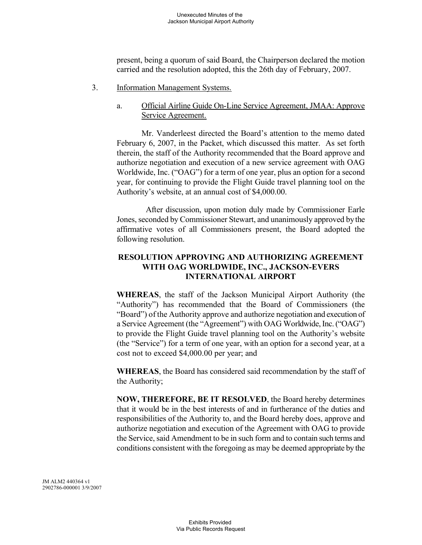present, being a quorum of said Board, the Chairperson declared the motion carried and the resolution adopted, this the 26th day of February, 2007.

- 3. Information Management Systems.
	- a. Official Airline Guide On-Line Service Agreement, JMAA: Approve Service Agreement.

Mr. Vanderleest directed the Board's attention to the memo dated February 6, 2007, in the Packet, which discussed this matter. As set forth therein, the staff of the Authority recommended that the Board approve and authorize negotiation and execution of a new service agreement with OAG Worldwide, Inc. ("OAG") for a term of one year, plus an option for a second year, for continuing to provide the Flight Guide travel planning tool on the Authority's website, at an annual cost of \$4,000.00.

After discussion, upon motion duly made by Commissioner Earle Jones, seconded by Commissioner Stewart, and unanimously approved bythe affirmative votes of all Commissioners present, the Board adopted the following resolution.

# **RESOLUTION APPROVING AND AUTHORIZING AGREEMENT WITH OAG WORLDWIDE, INC., JACKSON-EVERS INTERNATIONAL AIRPORT**

**WHEREAS**, the staff of the Jackson Municipal Airport Authority (the "Authority") has recommended that the Board of Commissioners (the "Board") of the Authority approve and authorize negotiation and execution of a Service Agreement (the "Agreement") with OAG Worldwide, Inc. ("OAG") to provide the Flight Guide travel planning tool on the Authority's website (the "Service") for a term of one year, with an option for a second year, at a cost not to exceed \$4,000.00 per year; and

**WHEREAS**, the Board has considered said recommendation by the staff of the Authority;

**NOW, THEREFORE, BE IT RESOLVED**, the Board hereby determines that it would be in the best interests of and in furtherance of the duties and responsibilities of the Authority to, and the Board hereby does, approve and authorize negotiation and execution of the Agreement with OAG to provide the Service, said Amendment to be in such form and to contain such terms and conditions consistent with the foregoing as may be deemed appropriate by the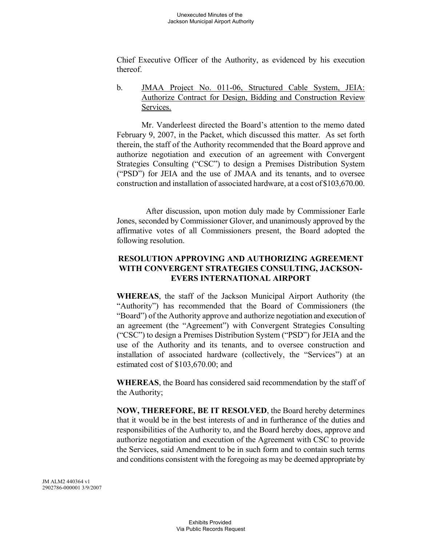Chief Executive Officer of the Authority, as evidenced by his execution thereof.

b. JMAA Project No. 011-06, Structured Cable System, JEIA: Authorize Contract for Design, Bidding and Construction Review Services.

Mr. Vanderleest directed the Board's attention to the memo dated February 9, 2007, in the Packet, which discussed this matter. As set forth therein, the staff of the Authority recommended that the Board approve and authorize negotiation and execution of an agreement with Convergent Strategies Consulting ("CSC") to design a Premises Distribution System ("PSD") for JEIA and the use of JMAA and its tenants, and to oversee construction and installation of associated hardware, at a cost of\$103,670.00.

After discussion, upon motion duly made by Commissioner Earle Jones, seconded by Commissioner Glover, and unanimously approved by the affirmative votes of all Commissioners present, the Board adopted the following resolution.

# **RESOLUTION APPROVING AND AUTHORIZING AGREEMENT WITH CONVERGENT STRATEGIES CONSULTING, JACKSON-EVERS INTERNATIONAL AIRPORT**

**WHEREAS**, the staff of the Jackson Municipal Airport Authority (the "Authority") has recommended that the Board of Commissioners (the "Board") of the Authority approve and authorize negotiation and execution of an agreement (the "Agreement") with Convergent Strategies Consulting ("CSC") to design a Premises Distribution System ("PSD") for JEIA and the use of the Authority and its tenants, and to oversee construction and installation of associated hardware (collectively, the "Services") at an estimated cost of \$103,670.00; and

**WHEREAS**, the Board has considered said recommendation by the staff of the Authority;

**NOW, THEREFORE, BE IT RESOLVED**, the Board hereby determines that it would be in the best interests of and in furtherance of the duties and responsibilities of the Authority to, and the Board hereby does, approve and authorize negotiation and execution of the Agreement with CSC to provide the Services, said Amendment to be in such form and to contain such terms and conditions consistent with the foregoing as may be deemed appropriate by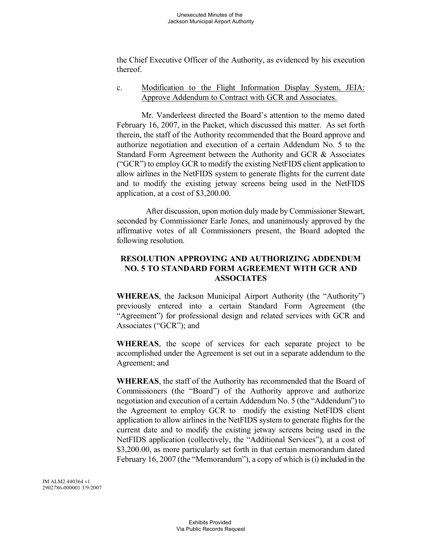the Chief Executive Officer of the Authority, as evidenced by his execution thereof.

### c. Modification to the Flight Information Display System, JEIA: Approve Addendum to Contract with GCR and Associates.

Mr. Vanderleest directed the Board's attention to the memo dated February 16, 2007, in the Packet, which discussed this matter. As set forth therein, the staff of the Authority recommended that the Board approve and authorize negotiation and execution of a certain Addendum No. 5 to the Standard Form Agreement between the Authority and GCR & Associates ("GCR") to employ GCR to modify the existing NetFIDS client application to allow airlines in the NetFIDS system to generate flights for the current date and to modify the existing jetway screens being used in the NetFIDS application, at a cost of \$3,200.00.

After discussion, upon motion duly made by Commissioner Stewart, seconded by Commissioner Earle Jones, and unanimously approved by the affirmative votes of all Commissioners present, the Board adopted the following resolution.

# **RESOLUTION APPROVING AND AUTHORIZING ADDENDUM NO. 5 TO STANDARD FORM AGREEMENT WITH GCR AND ASSOCIATES**

**WHEREAS**, the Jackson Municipal Airport Authority (the "Authority") previously entered into a certain Standard Form Agreement (the "Agreement") for professional design and related services with GCR and Associates ("GCR"); and

**WHEREAS**, the scope of services for each separate project to be accomplished under the Agreement is set out in a separate addendum to the Agreement; and

**WHEREAS**, the staff of the Authority has recommended that the Board of Commissioners (the "Board") of the Authority approve and authorize negotiation and execution of a certain Addendum No. 5 (the "Addendum") to the Agreement to employ GCR to modify the existing NetFIDS client application to allow airlines in the NetFIDS system to generate flights for the current date and to modify the existing jetway screens being used in the NetFIDS application (collectively, the "Additional Services"), at a cost of \$3,200.00, as more particularly set forth in that certain memorandum dated February 16, 2007 (the "Memorandum"), a copy of which is (i) included in the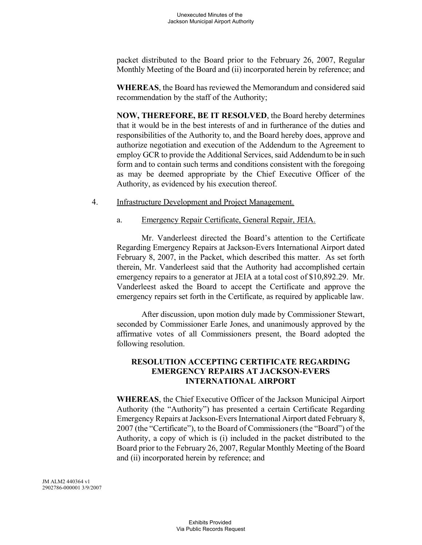packet distributed to the Board prior to the February 26, 2007, Regular Monthly Meeting of the Board and (ii) incorporated herein by reference; and

**WHEREAS**, the Board has reviewed the Memorandum and considered said recommendation by the staff of the Authority;

**NOW, THEREFORE, BE IT RESOLVED**, the Board hereby determines that it would be in the best interests of and in furtherance of the duties and responsibilities of the Authority to, and the Board hereby does, approve and authorize negotiation and execution of the Addendum to the Agreement to employ GCR to provide the Additional Services, said Addendumto be in such form and to contain such terms and conditions consistent with the foregoing as may be deemed appropriate by the Chief Executive Officer of the Authority, as evidenced by his execution thereof.

#### 4. Infrastructure Development and Project Management.

#### a. Emergency Repair Certificate, General Repair, JEIA.

Mr. Vanderleest directed the Board's attention to the Certificate Regarding Emergency Repairs at Jackson-Evers International Airport dated February 8, 2007, in the Packet, which described this matter. As set forth therein, Mr. Vanderleest said that the Authority had accomplished certain emergency repairs to a generator at JEIA at a total cost of \$10,892.29. Mr. Vanderleest asked the Board to accept the Certificate and approve the emergency repairs set forth in the Certificate, as required by applicable law.

After discussion, upon motion duly made by Commissioner Stewart, seconded by Commissioner Earle Jones, and unanimously approved by the affirmative votes of all Commissioners present, the Board adopted the following resolution.

# **RESOLUTION ACCEPTING CERTIFICATE REGARDING EMERGENCY REPAIRS AT JACKSON-EVERS INTERNATIONAL AIRPORT**

**WHEREAS**, the Chief Executive Officer of the Jackson Municipal Airport Authority (the "Authority") has presented a certain Certificate Regarding Emergency Repairs at Jackson-Evers International Airport dated February 8, 2007 (the "Certificate"), to the Board of Commissioners (the "Board") of the Authority, a copy of which is (i) included in the packet distributed to the Board prior to the February 26, 2007, Regular Monthly Meeting of the Board and (ii) incorporated herein by reference; and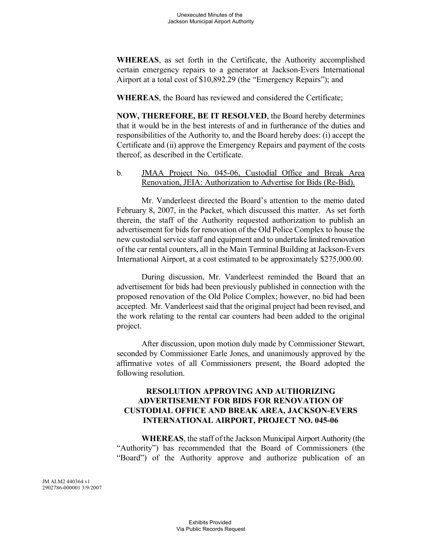**WHEREAS**, as set forth in the Certificate, the Authority accomplished certain emergency repairs to a generator at Jackson-Evers International Airport at a total cost of \$10,892.29 (the "Emergency Repairs"); and

**WHEREAS**, the Board has reviewed and considered the Certificate;

**NOW, THEREFORE, BE IT RESOLVED**, the Board hereby determines that it would be in the best interests of and in furtherance of the duties and responsibilities of the Authority to, and the Board hereby does: (i) accept the Certificate and (ii) approve the Emergency Repairs and payment of the costs thereof, as described in the Certificate.

b. JMAA Project No. 045-06, Custodial Office and Break Area Renovation, JEIA: Authorization to Advertise for Bids (Re-Bid).

Mr. Vanderleest directed the Board's attention to the memo dated February 8, 2007, in the Packet, which discussed this matter. As set forth therein, the staff of the Authority requested authorization to publish an advertisement for bids for renovation of the Old Police Complex to house the new custodial service staff and equipment and to undertake limited renovation of the car rental counters, all in the Main Terminal Building at Jackson-Evers International Airport, at a cost estimated to be approximately \$275,000.00.

During discussion, Mr. Vanderleest reminded the Board that an advertisement for bids had been previously published in connection with the proposed renovation of the Old Police Complex; however, no bid had been accepted. Mr. Vanderleest said that the original project had been revised, and the work relating to the rental car counters had been added to the original project.

After discussion, upon motion duly made by Commissioner Stewart, seconded by Commissioner Earle Jones, and unanimously approved by the affirmative votes of all Commissioners present, the Board adopted the following resolution.

### **RESOLUTION APPROVING AND AUTHORIZING ADVERTISEMENT FOR BIDS FOR RENOVATION OF CUSTODIAL OFFICE AND BREAK AREA, JACKSON-EVERS INTERNATIONAL AIRPORT, PROJECT NO. 045-06**

**WHEREAS**, the staff of the Jackson Municipal Airport Authority (the "Authority") has recommended that the Board of Commissioners (the "Board") of the Authority approve and authorize publication of an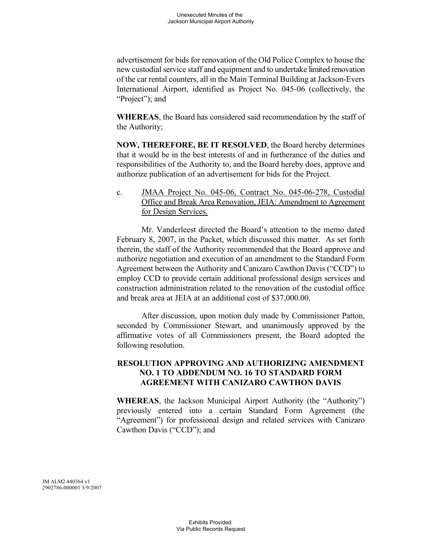advertisement for bids for renovation of the Old Police Complex to house the new custodial service staff and equipment and to undertake limited renovation of the car rental counters, all in the Main Terminal Building at Jackson-Evers International Airport, identified as Project No. 045-06 (collectively, the "Project"); and

**WHEREAS**, the Board has considered said recommendation by the staff of the Authority;

**NOW, THEREFORE, BE IT RESOLVED**, the Board hereby determines that it would be in the best interests of and in furtherance of the duties and responsibilities of the Authority to, and the Board hereby does, approve and authorize publication of an advertisement for bids for the Project.

c. JMAA Project No. 045-06, Contract No. 045-06-278, Custodial Office and Break Area Renovation, JEIA: Amendment to Agreement for Design Services.

Mr. Vanderleest directed the Board's attention to the memo dated February 8, 2007, in the Packet, which discussed this matter. As set forth therein, the staff of the Authority recommended that the Board approve and authorize negotiation and execution of an amendment to the Standard Form Agreement between the Authority and Canizaro Cawthon Davis ("CCD") to employ CCD to provide certain additional professional design services and construction administration related to the renovation of the custodial office and break area at JEIA at an additional cost of \$37,000.00.

After discussion, upon motion duly made by Commissioner Patton, seconded by Commissioner Stewart, and unanimously approved by the affirmative votes of all Commissioners present, the Board adopted the following resolution.

# **RESOLUTION APPROVING AND AUTHORIZING AMENDMENT NO. 1 TO ADDENDUM NO. 16 TO STANDARD FORM AGREEMENT WITH CANIZARO CAWTHON DAVIS**

**WHEREAS**, the Jackson Municipal Airport Authority (the "Authority") previously entered into a certain Standard Form Agreement (the "Agreement") for professional design and related services with Canizaro Cawthon Davis ("CCD"); and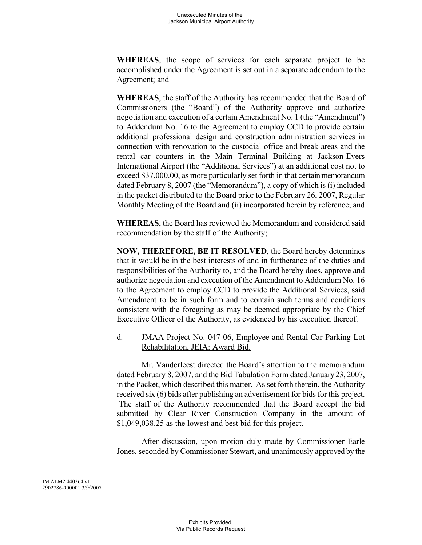**WHEREAS**, the scope of services for each separate project to be accomplished under the Agreement is set out in a separate addendum to the Agreement; and

**WHEREAS**, the staff of the Authority has recommended that the Board of Commissioners (the "Board") of the Authority approve and authorize negotiation and execution of a certain Amendment No. 1 (the "Amendment") to Addendum No. 16 to the Agreement to employ CCD to provide certain additional professional design and construction administration services in connection with renovation to the custodial office and break areas and the rental car counters in the Main Terminal Building at Jackson-Evers International Airport (the "Additional Services") at an additional cost not to exceed \$37,000.00, as more particularly set forth in that certain memorandum dated February 8, 2007 (the "Memorandum"), a copy of which is (i) included in the packet distributed to the Board prior to the February 26, 2007, Regular Monthly Meeting of the Board and (ii) incorporated herein by reference; and

**WHEREAS**, the Board has reviewed the Memorandum and considered said recommendation by the staff of the Authority;

**NOW, THEREFORE, BE IT RESOLVED**, the Board hereby determines that it would be in the best interests of and in furtherance of the duties and responsibilities of the Authority to, and the Board hereby does, approve and authorize negotiation and execution of the Amendment to Addendum No. 16 to the Agreement to employ CCD to provide the Additional Services, said Amendment to be in such form and to contain such terms and conditions consistent with the foregoing as may be deemed appropriate by the Chief Executive Officer of the Authority, as evidenced by his execution thereof.

# d. JMAA Project No. 047-06, Employee and Rental Car Parking Lot Rehabilitation, JEIA: Award Bid.

Mr. Vanderleest directed the Board's attention to the memorandum dated February 8, 2007, and the Bid Tabulation Form dated January23, 2007, in the Packet, which described this matter. As set forth therein, the Authority received six (6) bids after publishing an advertisement for bids for this project. The staff of the Authority recommended that the Board accept the bid submitted by Clear River Construction Company in the amount of \$1,049,038.25 as the lowest and best bid for this project.

After discussion, upon motion duly made by Commissioner Earle Jones, seconded by Commissioner Stewart, and unanimously approved by the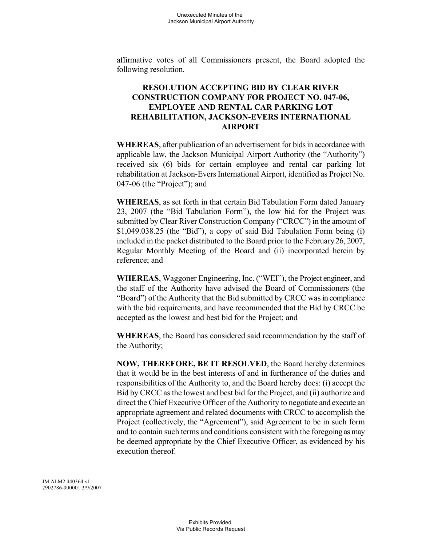affirmative votes of all Commissioners present, the Board adopted the following resolution.

# **RESOLUTION ACCEPTING BID BY CLEAR RIVER CONSTRUCTION COMPANY FOR PROJECT NO. 047-06, EMPLOYEE AND RENTAL CAR PARKING LOT REHABILITATION, JACKSON-EVERS INTERNATIONAL AIRPORT**

**WHEREAS**, after publication of an advertisement for bids in accordance with applicable law, the Jackson Municipal Airport Authority (the "Authority") received six (6) bids for certain employee and rental car parking lot rehabilitation at Jackson-Evers International Airport, identified as Project No. 047-06 (the "Project"); and

**WHEREAS**, as set forth in that certain Bid Tabulation Form dated January 23, 2007 (the "Bid Tabulation Form"), the low bid for the Project was submitted by Clear River Construction Company ("CRCC") in the amount of \$1,049.038.25 (the "Bid"), a copy of said Bid Tabulation Form being (i) included in the packet distributed to the Board prior to the February26, 2007, Regular Monthly Meeting of the Board and (ii) incorporated herein by reference; and

**WHEREAS**, Waggoner Engineering, Inc. ("WEI"), the Project engineer, and the staff of the Authority have advised the Board of Commissioners (the "Board") of the Authority that the Bid submitted by CRCC was in compliance with the bid requirements, and have recommended that the Bid by CRCC be accepted as the lowest and best bid for the Project; and

**WHEREAS**, the Board has considered said recommendation by the staff of the Authority;

**NOW, THEREFORE, BE IT RESOLVED**, the Board hereby determines that it would be in the best interests of and in furtherance of the duties and responsibilities of the Authority to, and the Board hereby does: (i) accept the Bid by CRCC as the lowest and best bid for the Project, and (ii) authorize and direct the Chief Executive Officer of the Authority to negotiate and execute an appropriate agreement and related documents with CRCC to accomplish the Project (collectively, the "Agreement"), said Agreement to be in such form and to contain such terms and conditions consistent with the foregoing as may be deemed appropriate by the Chief Executive Officer, as evidenced by his execution thereof.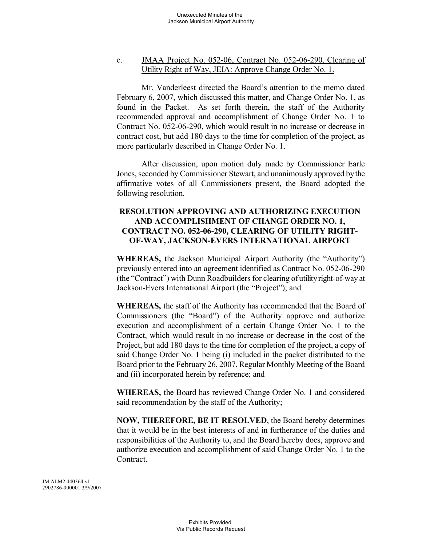### e. JMAA Project No. 052-06, Contract No. 052-06-290, Clearing of Utility Right of Way, JEIA: Approve Change Order No. 1.

Mr. Vanderleest directed the Board's attention to the memo dated February 6, 2007, which discussed this matter, and Change Order No. 1, as found in the Packet. As set forth therein, the staff of the Authority recommended approval and accomplishment of Change Order No. 1 to Contract No. 052-06-290, which would result in no increase or decrease in contract cost, but add 180 days to the time for completion of the project, as more particularly described in Change Order No. 1.

After discussion, upon motion duly made by Commissioner Earle Jones, seconded by Commissioner Stewart, and unanimously approved bythe affirmative votes of all Commissioners present, the Board adopted the following resolution.

# **RESOLUTION APPROVING AND AUTHORIZING EXECUTION AND ACCOMPLISHMENT OF CHANGE ORDER NO. 1, CONTRACT NO. 052-06-290, CLEARING OF UTILITY RIGHT-OF-WAY, JACKSON-EVERS INTERNATIONAL AIRPORT**

**WHEREAS,** the Jackson Municipal Airport Authority (the "Authority") previously entered into an agreement identified as Contract No. 052-06-290 (the "Contract") with Dunn Roadbuilders for clearing ofutility right-of-way at Jackson-Evers International Airport (the "Project"); and

**WHEREAS,** the staff of the Authority has recommended that the Board of Commissioners (the "Board") of the Authority approve and authorize execution and accomplishment of a certain Change Order No. 1 to the Contract, which would result in no increase or decrease in the cost of the Project, but add 180 days to the time for completion of the project, a copy of said Change Order No. 1 being (i) included in the packet distributed to the Board prior to the February 26, 2007, Regular Monthly Meeting of the Board and (ii) incorporated herein by reference; and

**WHEREAS,** the Board has reviewed Change Order No. 1 and considered said recommendation by the staff of the Authority;

**NOW, THEREFORE, BE IT RESOLVED**, the Board hereby determines that it would be in the best interests of and in furtherance of the duties and responsibilities of the Authority to, and the Board hereby does, approve and authorize execution and accomplishment of said Change Order No. 1 to the **Contract**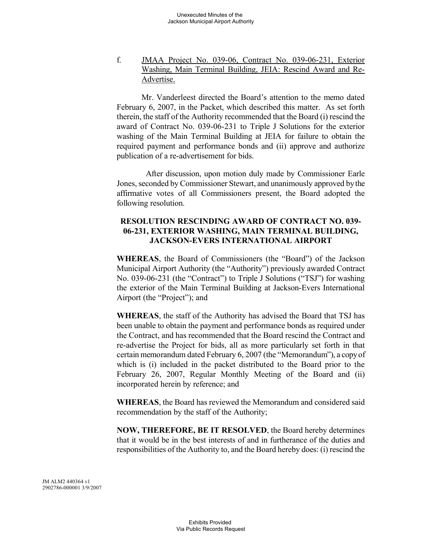# f. JMAA Project No. 039-06, Contract No. 039-06-231, Exterior Washing, Main Terminal Building, JEIA: Rescind Award and Re-Advertise.

Mr. Vanderleest directed the Board's attention to the memo dated February 6, 2007, in the Packet, which described this matter. As set forth therein, the staff of the Authority recommended that the Board (i) rescind the award of Contract No. 039-06-231 to Triple J Solutions for the exterior washing of the Main Terminal Building at JEIA for failure to obtain the required payment and performance bonds and (ii) approve and authorize publication of a re-advertisement for bids.

After discussion, upon motion duly made by Commissioner Earle Jones, seconded by Commissioner Stewart, and unanimously approved bythe affirmative votes of all Commissioners present, the Board adopted the following resolution.

# **RESOLUTION RESCINDING AWARD OF CONTRACT NO. 039- 06-231, EXTERIOR WASHING, MAIN TERMINAL BUILDING, JACKSON-EVERS INTERNATIONAL AIRPORT**

**WHEREAS**, the Board of Commissioners (the "Board") of the Jackson Municipal Airport Authority (the "Authority") previously awarded Contract No. 039-06-231 (the "Contract") to Triple J Solutions ("TSJ") for washing the exterior of the Main Terminal Building at Jackson-Evers International Airport (the "Project"); and

**WHEREAS**, the staff of the Authority has advised the Board that TSJ has been unable to obtain the payment and performance bonds as required under the Contract, and has recommended that the Board rescind the Contract and re-advertise the Project for bids, all as more particularly set forth in that certain memorandum dated February 6, 2007 (the "Memorandum"), a copyof which is (i) included in the packet distributed to the Board prior to the February 26, 2007, Regular Monthly Meeting of the Board and (ii) incorporated herein by reference; and

**WHEREAS**, the Board has reviewed the Memorandum and considered said recommendation by the staff of the Authority;

**NOW, THEREFORE, BE IT RESOLVED**, the Board hereby determines that it would be in the best interests of and in furtherance of the duties and responsibilities of the Authority to, and the Board hereby does: (i) rescind the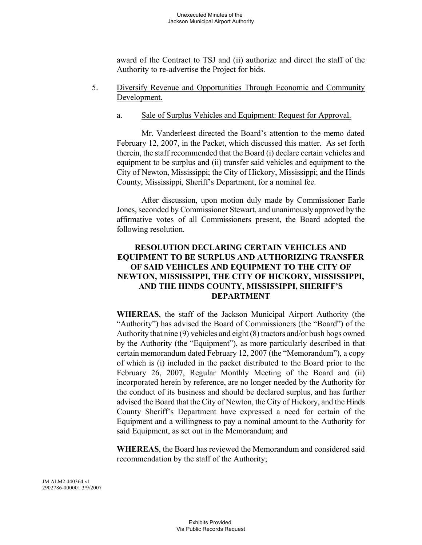award of the Contract to TSJ and (ii) authorize and direct the staff of the Authority to re-advertise the Project for bids.

- 5. Diversify Revenue and Opportunities Through Economic and Community Development.
	- a. Sale of Surplus Vehicles and Equipment: Request for Approval.

Mr. Vanderleest directed the Board's attention to the memo dated February 12, 2007, in the Packet, which discussed this matter. As set forth therein, the staff recommended that the Board (i) declare certain vehicles and equipment to be surplus and (ii) transfer said vehicles and equipment to the City of Newton, Mississippi; the City of Hickory, Mississippi; and the Hinds County, Mississippi, Sheriff's Department, for a nominal fee.

After discussion, upon motion duly made by Commissioner Earle Jones, seconded by Commissioner Stewart, and unanimously approved bythe affirmative votes of all Commissioners present, the Board adopted the following resolution.

# **RESOLUTION DECLARING CERTAIN VEHICLES AND EQUIPMENT TO BE SURPLUS AND AUTHORIZING TRANSFER OF SAID VEHICLES AND EQUIPMENT TO THE CITY OF NEWTON, MISSISSIPPI, THE CITY OF HICKORY, MISSISSIPPI, AND THE HINDS COUNTY, MISSISSIPPI, SHERIFF'S DEPARTMENT**

**WHEREAS**, the staff of the Jackson Municipal Airport Authority (the "Authority") has advised the Board of Commissioners (the "Board") of the Authority that nine (9) vehicles and eight (8) tractors and/or bush hogs owned by the Authority (the "Equipment"), as more particularly described in that certain memorandum dated February 12, 2007 (the "Memorandum"), a copy of which is (i) included in the packet distributed to the Board prior to the February 26, 2007, Regular Monthly Meeting of the Board and (ii) incorporated herein by reference, are no longer needed by the Authority for the conduct of its business and should be declared surplus, and has further advised the Board that the City of Newton, the City of Hickory, and the Hinds County Sheriff's Department have expressed a need for certain of the Equipment and a willingness to pay a nominal amount to the Authority for said Equipment, as set out in the Memorandum; and

**WHEREAS**, the Board has reviewed the Memorandum and considered said recommendation by the staff of the Authority;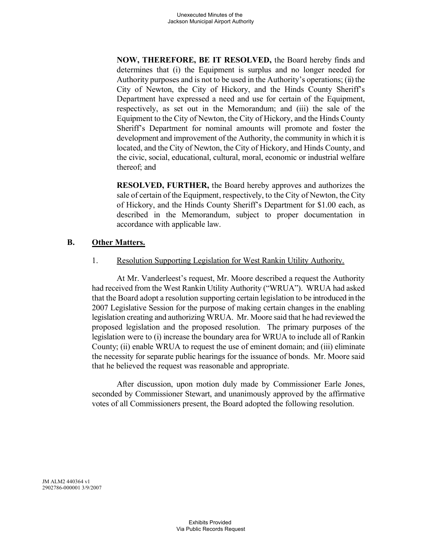**NOW, THEREFORE, BE IT RESOLVED,** the Board hereby finds and determines that (i) the Equipment is surplus and no longer needed for Authority purposes and is not to be used in the Authority's operations; (ii) the City of Newton, the City of Hickory, and the Hinds County Sheriff's Department have expressed a need and use for certain of the Equipment, respectively, as set out in the Memorandum; and (iii) the sale of the Equipment to the City of Newton, the City of Hickory, and the Hinds County Sheriff's Department for nominal amounts will promote and foster the development and improvement of the Authority, the community in which it is located, and the City of Newton, the City of Hickory, and Hinds County, and the civic, social, educational, cultural, moral, economic or industrial welfare thereof; and

**RESOLVED, FURTHER,** the Board hereby approves and authorizes the sale of certain of the Equipment, respectively, to the City of Newton, the City of Hickory, and the Hinds County Sheriff's Department for \$1.00 each, as described in the Memorandum, subject to proper documentation in accordance with applicable law.

# **B. Other Matters.**

1. Resolution Supporting Legislation for West Rankin Utility Authority.

At Mr. Vanderleest's request, Mr. Moore described a request the Authority had received from the West Rankin Utility Authority ("WRUA"). WRUA had asked that the Board adopt a resolution supporting certain legislation to be introduced in the 2007 Legislative Session for the purpose of making certain changes in the enabling legislation creating and authorizing WRUA. Mr. Moore said that he had reviewed the proposed legislation and the proposed resolution. The primary purposes of the legislation were to (i) increase the boundary area for WRUA to include all of Rankin County; (ii) enable WRUA to request the use of eminent domain; and (iii) eliminate the necessity for separate public hearings for the issuance of bonds. Mr. Moore said that he believed the request was reasonable and appropriate.

After discussion, upon motion duly made by Commissioner Earle Jones, seconded by Commissioner Stewart, and unanimously approved by the affirmative votes of all Commissioners present, the Board adopted the following resolution.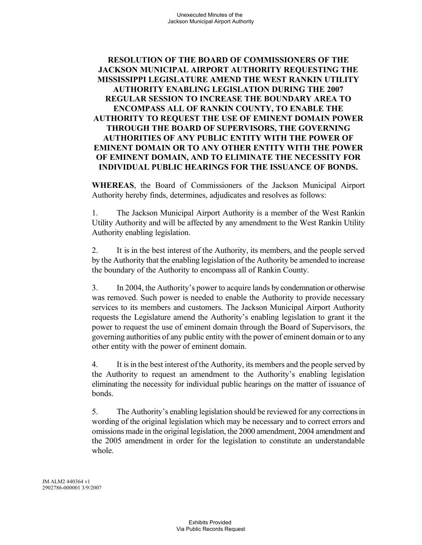# **RESOLUTION OF THE BOARD OF COMMISSIONERS OF THE JACKSON MUNICIPAL AIRPORT AUTHORITY REQUESTING THE MISSISSIPPI LEGISLATURE AMEND THE WEST RANKIN UTILITY AUTHORITY ENABLING LEGISLATION DURING THE 2007 REGULAR SESSION TO INCREASE THE BOUNDARY AREA TO ENCOMPASS ALL OF RANKIN COUNTY, TO ENABLE THE AUTHORITY TO REQUEST THE USE OF EMINENT DOMAIN POWER THROUGH THE BOARD OF SUPERVISORS, THE GOVERNING AUTHORITIES OF ANY PUBLIC ENTITY WITH THE POWER OF EMINENT DOMAIN OR TO ANY OTHER ENTITY WITH THE POWER OF EMINENT DOMAIN, AND TO ELIMINATE THE NECESSITY FOR INDIVIDUAL PUBLIC HEARINGS FOR THE ISSUANCE OF BONDS.**

**WHEREAS**, the Board of Commissioners of the Jackson Municipal Airport Authority hereby finds, determines, adjudicates and resolves as follows:

1. The Jackson Municipal Airport Authority is a member of the West Rankin Utility Authority and will be affected by any amendment to the West Rankin Utility Authority enabling legislation.

2. It is in the best interest of the Authority, its members, and the people served by the Authority that the enabling legislation of the Authority be amended to increase the boundary of the Authority to encompass all of Rankin County.

3. In 2004, the Authority's power to acquire lands by condemnation or otherwise was removed. Such power is needed to enable the Authority to provide necessary services to its members and customers. The Jackson Municipal Airport Authority requests the Legislature amend the Authority's enabling legislation to grant it the power to request the use of eminent domain through the Board of Supervisors, the governing authorities of any public entity with the power of eminent domain or to any other entity with the power of eminent domain.

4. It is in the best interest of the Authority, its members and the people served by the Authority to request an amendment to the Authority's enabling legislation eliminating the necessity for individual public hearings on the matter of issuance of bonds.

5. The Authority's enabling legislation should be reviewed for any corrections in wording of the original legislation which may be necessary and to correct errors and omissions made in the original legislation, the 2000 amendment, 2004 amendment and the 2005 amendment in order for the legislation to constitute an understandable whole.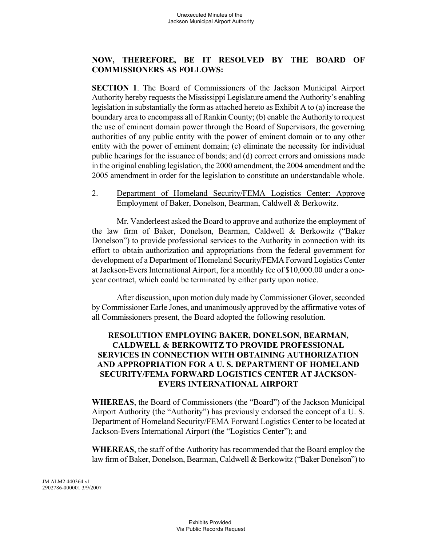# **NOW, THEREFORE, BE IT RESOLVED BY THE BOARD OF COMMISSIONERS AS FOLLOWS:**

**SECTION 1**. The Board of Commissioners of the Jackson Municipal Airport Authority hereby requests the Mississippi Legislature amend the Authority's enabling legislation in substantially the form as attached hereto as Exhibit A to (a) increase the boundary area to encompass all of Rankin County; (b) enable the Authority to request the use of eminent domain power through the Board of Supervisors, the governing authorities of any public entity with the power of eminent domain or to any other entity with the power of eminent domain; (c) eliminate the necessity for individual public hearings for the issuance of bonds; and (d) correct errors and omissions made in the original enabling legislation, the 2000 amendment, the 2004 amendment and the 2005 amendment in order for the legislation to constitute an understandable whole.

### 2. Department of Homeland Security/FEMA Logistics Center: Approve Employment of Baker, Donelson, Bearman, Caldwell & Berkowitz.

Mr. Vanderleest asked the Board to approve and authorize the employment of the law firm of Baker, Donelson, Bearman, Caldwell & Berkowitz ("Baker Donelson") to provide professional services to the Authority in connection with its effort to obtain authorization and appropriations from the federal government for development of a Department of Homeland Security/FEMA Forward Logistics Center at Jackson-Evers International Airport, for a monthly fee of \$10,000.00 under a oneyear contract, which could be terminated by either party upon notice.

After discussion, upon motion duly made by Commissioner Glover, seconded by Commissioner Earle Jones, and unanimously approved by the affirmative votes of all Commissioners present, the Board adopted the following resolution.

# **RESOLUTION EMPLOYING BAKER, DONELSON, BEARMAN, CALDWELL & BERKOWITZ TO PROVIDE PROFESSIONAL SERVICES IN CONNECTION WITH OBTAINING AUTHORIZATION AND APPROPRIATION FOR A U. S. DEPARTMENT OF HOMELAND SECURITY/FEMA FORWARD LOGISTICS CENTER AT JACKSON-EVERS INTERNATIONAL AIRPORT**

**WHEREAS**, the Board of Commissioners (the "Board") of the Jackson Municipal Airport Authority (the "Authority") has previously endorsed the concept of a U. S. Department of Homeland Security/FEMA Forward Logistics Center to be located at Jackson-Evers International Airport (the "Logistics Center"); and

**WHEREAS**, the staff of the Authority has recommended that the Board employ the law firm of Baker, Donelson, Bearman, Caldwell & Berkowitz ("Baker Donelson") to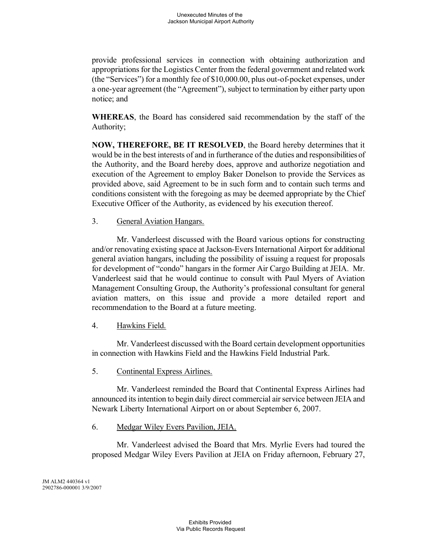provide professional services in connection with obtaining authorization and appropriations for the Logistics Center from the federal government and related work (the "Services") for a monthly fee of \$10,000.00, plus out-of-pocket expenses, under a one-year agreement (the "Agreement"), subject to termination by either party upon notice; and

**WHEREAS**, the Board has considered said recommendation by the staff of the Authority;

**NOW, THEREFORE, BE IT RESOLVED**, the Board hereby determines that it would be in the best interests of and in furtherance of the duties and responsibilities of the Authority, and the Board hereby does, approve and authorize negotiation and execution of the Agreement to employ Baker Donelson to provide the Services as provided above, said Agreement to be in such form and to contain such terms and conditions consistent with the foregoing as may be deemed appropriate by the Chief Executive Officer of the Authority, as evidenced by his execution thereof.

# 3. General Aviation Hangars.

Mr. Vanderleest discussed with the Board various options for constructing and/or renovating existing space at Jackson-Evers International Airport for additional general aviation hangars, including the possibility of issuing a request for proposals for development of "condo" hangars in the former Air Cargo Building at JEIA. Mr. Vanderleest said that he would continue to consult with Paul Myers of Aviation Management Consulting Group, the Authority's professional consultant for general aviation matters, on this issue and provide a more detailed report and recommendation to the Board at a future meeting.

# 4. Hawkins Field.

Mr. Vanderleest discussed with the Board certain development opportunities in connection with Hawkins Field and the Hawkins Field Industrial Park.

# 5. Continental Express Airlines.

Mr. Vanderleest reminded the Board that Continental Express Airlines had announced its intention to begin daily direct commercial air service between JEIA and Newark Liberty International Airport on or about September 6, 2007.

# 6. Medgar Wiley Evers Pavilion, JEIA.

Mr. Vanderleest advised the Board that Mrs. Myrlie Evers had toured the proposed Medgar Wiley Evers Pavilion at JEIA on Friday afternoon, February 27,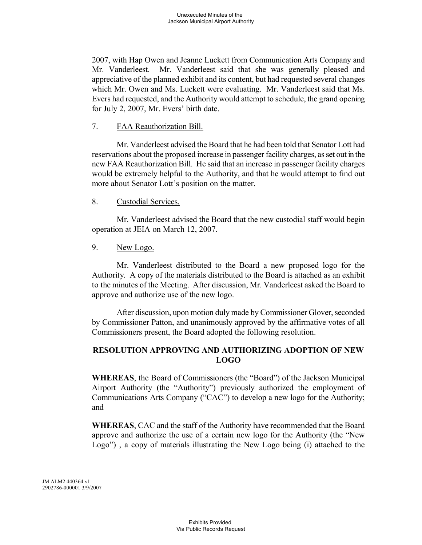2007, with Hap Owen and Jeanne Luckett from Communication Arts Company and Mr. Vanderleest. Mr. Vanderleest said that she was generally pleased and appreciative of the planned exhibit and its content, but had requested several changes which Mr. Owen and Ms. Luckett were evaluating. Mr. Vanderleest said that Ms. Evers had requested, and the Authority would attempt to schedule, the grand opening for July 2, 2007, Mr. Evers' birth date.

### 7. FAA Reauthorization Bill.

Mr. Vanderleest advised the Board that he had been told that Senator Lott had reservations about the proposed increase in passenger facility charges, as set out in the new FAA Reauthorization Bill. He said that an increase in passenger facility charges would be extremely helpful to the Authority, and that he would attempt to find out more about Senator Lott's position on the matter.

#### 8. Custodial Services.

Mr. Vanderleest advised the Board that the new custodial staff would begin operation at JEIA on March 12, 2007.

#### 9. New Logo.

Mr. Vanderleest distributed to the Board a new proposed logo for the Authority. A copy of the materials distributed to the Board is attached as an exhibit to the minutes of the Meeting. After discussion, Mr. Vanderleest asked the Board to approve and authorize use of the new logo.

After discussion, upon motion duly made by Commissioner Glover, seconded by Commissioner Patton, and unanimously approved by the affirmative votes of all Commissioners present, the Board adopted the following resolution.

# **RESOLUTION APPROVING AND AUTHORIZING ADOPTION OF NEW LOGO**

**WHEREAS**, the Board of Commissioners (the "Board") of the Jackson Municipal Airport Authority (the "Authority") previously authorized the employment of Communications Arts Company ("CAC") to develop a new logo for the Authority; and

**WHEREAS**, CAC and the staff of the Authority have recommended that the Board approve and authorize the use of a certain new logo for the Authority (the "New Logo") , a copy of materials illustrating the New Logo being (i) attached to the